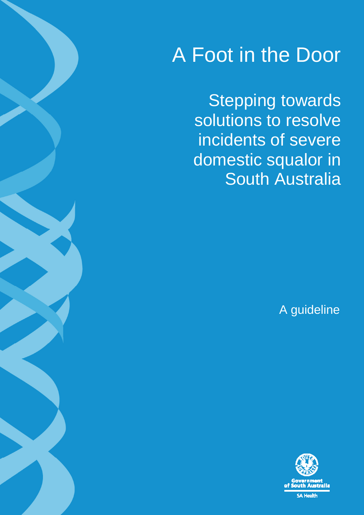# A Foot in the Door

Stepping towards solutions to resolve incidents of severe domestic squalor in South Australia

A guideline

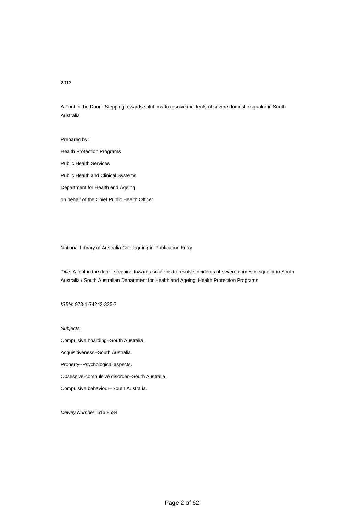#### 2013

A Foot in the Door - Stepping towards solutions to resolve incidents of severe domestic squalor in South Australia

Prepared by: Health Protection Programs Public Health Services Public Health and Clinical Systems Department for Health and Ageing on behalf of the Chief Public Health Officer

National Library of Australia Cataloguing-in-Publication Entry

Title: A foot in the door : stepping towards solutions to resolve incidents of severe domestic squalor in South Australia / South Australian Department for Health and Ageing; Health Protection Programs

ISBN: 978-1-74243-325-7

Subjects:

Compulsive hoarding--South Australia.

Acquisitiveness--South Australia.

Property--Psychological aspects.

Obsessive-compulsive disorder--South Australia.

Compulsive behaviour--South Australia.

Dewey Number: 616.8584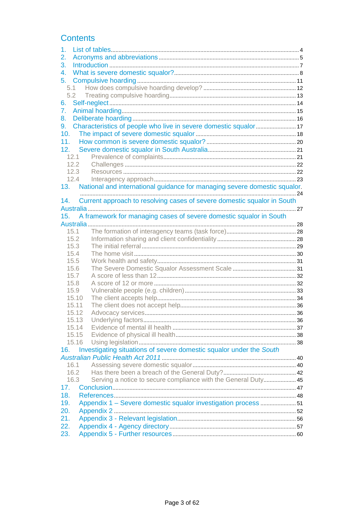## **Contents**

| 1.    |                                                                           |  |  |  |  |
|-------|---------------------------------------------------------------------------|--|--|--|--|
| 2.    |                                                                           |  |  |  |  |
| 3.    |                                                                           |  |  |  |  |
| 4.    |                                                                           |  |  |  |  |
| 5.    |                                                                           |  |  |  |  |
| 5.1   |                                                                           |  |  |  |  |
| 5.2   |                                                                           |  |  |  |  |
| 6.    |                                                                           |  |  |  |  |
| 7.    |                                                                           |  |  |  |  |
| 8.    |                                                                           |  |  |  |  |
| 9.    |                                                                           |  |  |  |  |
| 10.   |                                                                           |  |  |  |  |
| 11.   |                                                                           |  |  |  |  |
| 12.   |                                                                           |  |  |  |  |
| 12.1  |                                                                           |  |  |  |  |
| 12.2  |                                                                           |  |  |  |  |
| 12.3  |                                                                           |  |  |  |  |
| 12.4  |                                                                           |  |  |  |  |
| 13.   |                                                                           |  |  |  |  |
|       | National and international guidance for managing severe domestic squalor. |  |  |  |  |
| 14.   | Current approach to resolving cases of severe domestic squalor in South   |  |  |  |  |
|       |                                                                           |  |  |  |  |
| 15.   | A framework for managing cases of severe domestic squalor in South        |  |  |  |  |
|       |                                                                           |  |  |  |  |
| 15.1  |                                                                           |  |  |  |  |
| 15.2  |                                                                           |  |  |  |  |
| 15.3  |                                                                           |  |  |  |  |
| 15.4  |                                                                           |  |  |  |  |
| 15.5  |                                                                           |  |  |  |  |
| 15.6  |                                                                           |  |  |  |  |
| 15.7  |                                                                           |  |  |  |  |
| 15.8  |                                                                           |  |  |  |  |
| 15.9  |                                                                           |  |  |  |  |
| 15.10 |                                                                           |  |  |  |  |
| 15.11 |                                                                           |  |  |  |  |
| 15.12 |                                                                           |  |  |  |  |
| 15.13 |                                                                           |  |  |  |  |
| 15.14 |                                                                           |  |  |  |  |
| 15.15 |                                                                           |  |  |  |  |
| 15.16 |                                                                           |  |  |  |  |
| 16.   | Investigating situations of severe domestic squalor under the South       |  |  |  |  |
|       |                                                                           |  |  |  |  |
| 16.1  |                                                                           |  |  |  |  |
| 16.2  |                                                                           |  |  |  |  |
| 16.3  | Serving a notice to secure compliance with the General Duty 45            |  |  |  |  |
| 17.   |                                                                           |  |  |  |  |
| 18.   |                                                                           |  |  |  |  |
| 19.   | Appendix 1 - Severe domestic squalor investigation process 51             |  |  |  |  |
| 20.   |                                                                           |  |  |  |  |
| 21.   |                                                                           |  |  |  |  |
| 22.   |                                                                           |  |  |  |  |
| 23.   |                                                                           |  |  |  |  |
|       |                                                                           |  |  |  |  |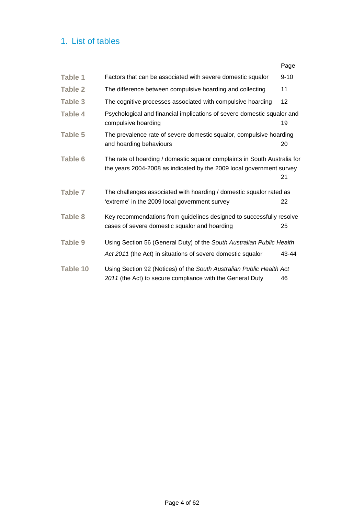## 1. List of tables

|                 |                                                                                                                                                   | Page     |
|-----------------|---------------------------------------------------------------------------------------------------------------------------------------------------|----------|
| <b>Table 1</b>  | Factors that can be associated with severe domestic squalor                                                                                       | $9 - 10$ |
| Table 2         | The difference between compulsive hoarding and collecting                                                                                         | 11       |
| <b>Table 3</b>  | The cognitive processes associated with compulsive hoarding                                                                                       | 12       |
| Table 4         | Psychological and financial implications of severe domestic squalor and<br>compulsive hoarding                                                    | 19       |
| <b>Table 5</b>  | The prevalence rate of severe domestic squalor, compulsive hoarding<br>and hoarding behaviours                                                    | 20       |
| <b>Table 6</b>  | The rate of hoarding / domestic squalor complaints in South Australia for<br>the years 2004-2008 as indicated by the 2009 local government survey | 21       |
| Table 7         | The challenges associated with hoarding / domestic squalor rated as<br>'extreme' in the 2009 local government survey                              | 22       |
| <b>Table 8</b>  | Key recommendations from guidelines designed to successfully resolve<br>cases of severe domestic squalor and hoarding                             | 25       |
| <b>Table 9</b>  | Using Section 56 (General Duty) of the South Australian Public Health<br>Act 2011 (the Act) in situations of severe domestic squalor              | 43-44    |
| <b>Table 10</b> | Using Section 92 (Notices) of the South Australian Public Health Act<br>2011 (the Act) to secure compliance with the General Duty                 | 46       |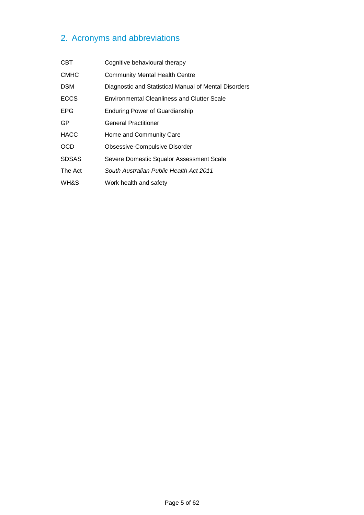## 2. Acronyms and abbreviations

| <b>CBT</b>   | Cognitive behavioural therapy                         |
|--------------|-------------------------------------------------------|
| <b>CMHC</b>  | <b>Community Mental Health Centre</b>                 |
| <b>DSM</b>   | Diagnostic and Statistical Manual of Mental Disorders |
| <b>ECCS</b>  | <b>Environmental Cleanliness and Clutter Scale</b>    |
| EPG          | <b>Enduring Power of Guardianship</b>                 |
| GP           | <b>General Practitioner</b>                           |
| <b>HACC</b>  | Home and Community Care                               |
| <b>OCD</b>   | Obsessive-Compulsive Disorder                         |
| <b>SDSAS</b> | Severe Domestic Squalor Assessment Scale              |
| The Act      | South Australian Public Health Act 2011               |
| WH&S         | Work health and safety                                |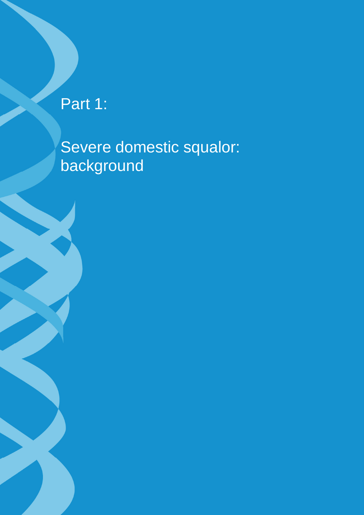Part 1:

Severe domestic squalor: background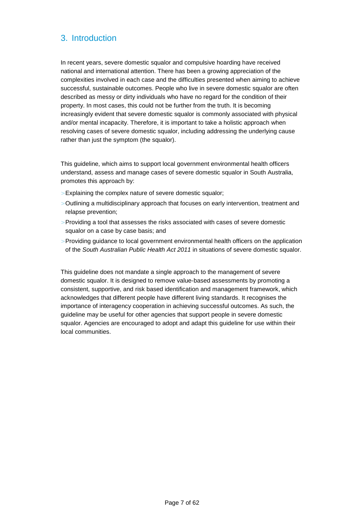## 3. Introduction

In recent years, severe domestic squalor and compulsive hoarding have received national and international attention. There has been a growing appreciation of the complexities involved in each case and the difficulties presented when aiming to achieve successful, sustainable outcomes. People who live in severe domestic squalor are often described as messy or dirty individuals who have no regard for the condition of their property. In most cases, this could not be further from the truth. It is becoming increasingly evident that severe domestic squalor is commonly associated with physical and/or mental incapacity. Therefore, it is important to take a holistic approach when resolving cases of severe domestic squalor, including addressing the underlying cause rather than just the symptom (the squalor).

This guideline, which aims to support local government environmental health officers understand, assess and manage cases of severe domestic squalor in South Australia, promotes this approach by:

- > Explaining the complex nature of severe domestic squalor;
- > Outlining a multidisciplinary approach that focuses on early intervention, treatment and relapse prevention;
- > Providing a tool that assesses the risks associated with cases of severe domestic squalor on a case by case basis; and
- > Providing guidance to local government environmental health officers on the application of the South Australian Public Health Act 2011 in situations of severe domestic squalor.

This guideline does not mandate a single approach to the management of severe domestic squalor. It is designed to remove value-based assessments by promoting a consistent, supportive, and risk based identification and management framework, which acknowledges that different people have different living standards. It recognises the importance of interagency cooperation in achieving successful outcomes. As such, the guideline may be useful for other agencies that support people in severe domestic squalor. Agencies are encouraged to adopt and adapt this guideline for use within their local communities.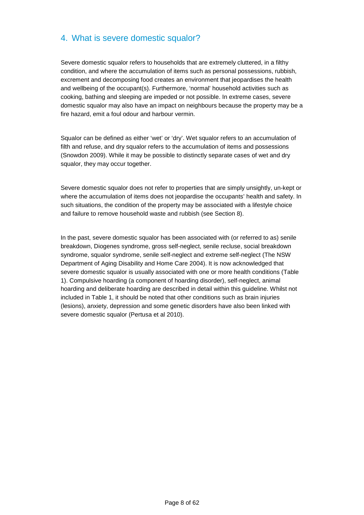## 4. What is severe domestic squalor?

Severe domestic squalor refers to households that are extremely cluttered, in a filthy condition, and where the accumulation of items such as personal possessions, rubbish, excrement and decomposing food creates an environment that jeopardises the health and wellbeing of the occupant(s). Furthermore, 'normal' household activities such as cooking, bathing and sleeping are impeded or not possible. In extreme cases, severe domestic squalor may also have an impact on neighbours because the property may be a fire hazard, emit a foul odour and harbour vermin.

Squalor can be defined as either 'wet' or 'dry'. Wet squalor refers to an accumulation of filth and refuse, and dry squalor refers to the accumulation of items and possessions (Snowdon 2009). While it may be possible to distinctly separate cases of wet and dry squalor, they may occur together.

Severe domestic squalor does not refer to properties that are simply unsightly, un-kept or where the accumulation of items does not jeopardise the occupants' health and safety. In such situations, the condition of the property may be associated with a lifestyle choice and failure to remove household waste and rubbish (see Section 8).

In the past, severe domestic squalor has been associated with (or referred to as) senile breakdown, Diogenes syndrome, gross self-neglect, senile recluse, social breakdown syndrome, squalor syndrome, senile self-neglect and extreme self-neglect (The NSW Department of Aging Disability and Home Care 2004). It is now acknowledged that severe domestic squalor is usually associated with one or more health conditions (Table 1). Compulsive hoarding (a component of hoarding disorder), self-neglect, animal hoarding and deliberate hoarding are described in detail within this guideline. Whilst not included in Table 1, it should be noted that other conditions such as brain injuries (lesions), anxiety, depression and some genetic disorders have also been linked with severe domestic squalor (Pertusa et al 2010).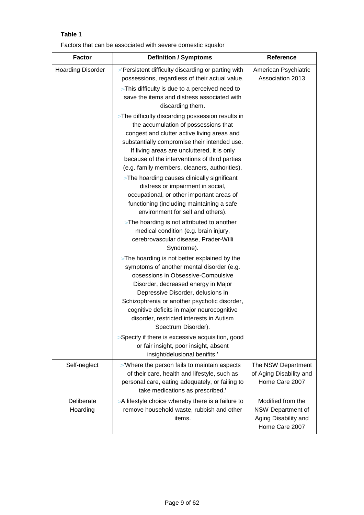## **Table 1**

Factors that can be associated with severe domestic squalor

| <b>Factor</b>            | <b>Definition / Symptoms</b>                                                                                                                                                                                                                                                                                                                                                  | <b>Reference</b>                                                                 |  |
|--------------------------|-------------------------------------------------------------------------------------------------------------------------------------------------------------------------------------------------------------------------------------------------------------------------------------------------------------------------------------------------------------------------------|----------------------------------------------------------------------------------|--|
| <b>Hoarding Disorder</b> | > 'Persistent difficulty discarding or parting with<br>possessions, regardless of their actual value.<br>> This difficulty is due to a perceived need to<br>save the items and distress associated with                                                                                                                                                                       | American Psychiatric<br>Association 2013                                         |  |
|                          | discarding them.<br>> The difficulty discarding possession results in<br>the accumulation of possessions that<br>congest and clutter active living areas and<br>substantially compromise their intended use.<br>If living areas are uncluttered, it is only<br>because of the interventions of third parties<br>(e.g. family members, cleaners, authorities).                 |                                                                                  |  |
|                          | > The hoarding causes clinically significant<br>distress or impairment in social,<br>occupational, or other important areas of<br>functioning (including maintaining a safe<br>environment for self and others).                                                                                                                                                              |                                                                                  |  |
|                          | > The hoarding is not attributed to another<br>medical condition (e.g. brain injury,<br>cerebrovascular disease, Prader-Willi<br>Syndrome).                                                                                                                                                                                                                                   |                                                                                  |  |
|                          | > The hoarding is not better explained by the<br>symptoms of another mental disorder (e.g.<br>obsessions in Obsessive-Compulsive<br>Disorder, decreased energy in Major<br>Depressive Disorder, delusions in<br>Schizophrenia or another psychotic disorder,<br>cognitive deficits in major neurocognitive<br>disorder, restricted interests in Autism<br>Spectrum Disorder). |                                                                                  |  |
|                          | > Specify if there is excessive acquisition, good<br>or fair insight, poor insight, absent<br>insight/delusional benifits.'                                                                                                                                                                                                                                                   |                                                                                  |  |
| Self-neglect             | > 'Where the person fails to maintain aspects<br>of their care, health and lifestyle, such as<br>personal care, eating adequately, or failing to<br>take medications as prescribed.'                                                                                                                                                                                          | The NSW Department<br>of Aging Disability and<br>Home Care 2007                  |  |
| Deliberate<br>Hoarding   | >A lifestyle choice whereby there is a failure to<br>remove household waste, rubbish and other<br>items.                                                                                                                                                                                                                                                                      | Modified from the<br>NSW Department of<br>Aging Disability and<br>Home Care 2007 |  |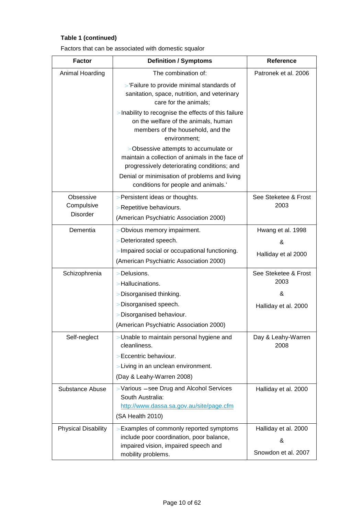## **Table 1 (continued)**

|  |  | Factors that can be associated with domestic squalor |
|--|--|------------------------------------------------------|
|--|--|------------------------------------------------------|

| <b>Factor</b>              | <b>Definition / Symptoms</b>                                                                                                                                                             | <b>Reference</b>             |  |
|----------------------------|------------------------------------------------------------------------------------------------------------------------------------------------------------------------------------------|------------------------------|--|
| Animal Hoarding            | The combination of:                                                                                                                                                                      | Patronek et al. 2006         |  |
|                            | > 'Failure to provide minimal standards of<br>sanitation, space, nutrition, and veterinary<br>care for the animals;                                                                      |                              |  |
|                            | > Inability to recognise the effects of this failure<br>on the welfare of the animals, human<br>members of the household, and the<br>environment;                                        |                              |  |
|                            | > Obsessive attempts to accumulate or<br>maintain a collection of animals in the face of<br>progressively deteriorating conditions; and<br>Denial or minimisation of problems and living |                              |  |
|                            | conditions for people and animals.'                                                                                                                                                      |                              |  |
| Obsessive<br>Compulsive    | > Persistent ideas or thoughts.<br>> Repetitive behaviours.                                                                                                                              | See Steketee & Frost<br>2003 |  |
| <b>Disorder</b>            | (American Psychiatric Association 2000)                                                                                                                                                  |                              |  |
| Dementia                   | > Obvious memory impairment.                                                                                                                                                             | Hwang et al. 1998            |  |
|                            | > Deteriorated speech.                                                                                                                                                                   | &                            |  |
|                            | > Impaired social or occupational functioning.                                                                                                                                           | Halliday et al 2000          |  |
|                            | (American Psychiatric Association 2000)                                                                                                                                                  |                              |  |
| Schizophrenia              | > Delusions.                                                                                                                                                                             | See Steketee & Frost         |  |
|                            | > Hallucinations.                                                                                                                                                                        | 2003                         |  |
|                            | > Disorganised thinking.                                                                                                                                                                 | &                            |  |
|                            | > Disorganised speech.                                                                                                                                                                   | Halliday et al. 2000         |  |
|                            | > Disorganised behaviour.                                                                                                                                                                |                              |  |
|                            | (American Psychiatric Association 2000)                                                                                                                                                  |                              |  |
| Self-neglect               | > Unable to maintain personal hygiene and<br>cleanliness.                                                                                                                                | Day & Leahy-Warren<br>2008   |  |
|                            | > Eccentric behaviour.                                                                                                                                                                   |                              |  |
|                            | > Living in an unclean environment.                                                                                                                                                      |                              |  |
|                            | (Day & Leahy-Warren 2008)                                                                                                                                                                |                              |  |
| Substance Abuse            | > Various – see Drug and Alcohol Services<br>South Australia:<br>http://www.dassa.sa.gov.au/site/page.cfm<br>(SA Health 2010)                                                            | Halliday et al. 2000         |  |
| <b>Physical Disability</b> | > Examples of commonly reported symptoms                                                                                                                                                 | Halliday et al. 2000         |  |
|                            | include poor coordination, poor balance,                                                                                                                                                 | &                            |  |
|                            | impaired vision, impaired speech and                                                                                                                                                     | Snowdon et al. 2007          |  |
|                            | mobility problems.                                                                                                                                                                       |                              |  |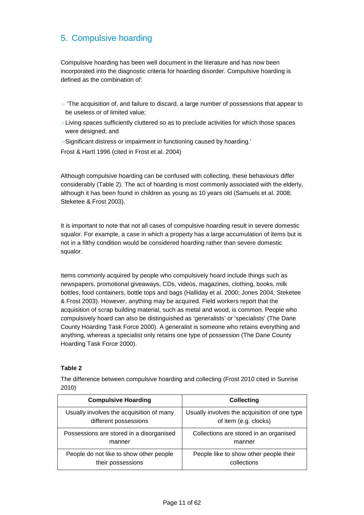## 5. Compulsive hoarding

Compulsive hoarding has been well document in the literature and has now been incorporated into the diagnostic criteria for hoarding disorder. Compulsive hoarding is defined as the combination of:

- $>$  'The acquisition of, and failure to discard, a large number of possessions that appear to be useless or of limited value;
- > Living spaces sufficiently cluttered so as to preclude activities for which those spaces were designed; and
- > Significant distress or impairment in functioning caused by hoarding.'
- Frost & Hartl 1996 (cited in Frost et al. 2004)

Although compulsive hoarding can be confused with collecting, these behaviours differ considerably (Table 2). The act of hoarding is most commonly associated with the elderly, although it has been found in children as young as 10 years old (Samuels et al. 2008; Steketee & Frost 2003).

It is important to note that not all cases of compulsive hoarding result in severe domestic squalor. For example, a case in which a property has a large accumulation of items but is not in a filthy condition would be considered hoarding rather than severe domestic squalor.

Items commonly acquired by people who compulsively hoard include things such as newspapers, promotional giveaways, CDs, videos, magazines, clothing, books, milk bottles, food containers, bottle tops and bags (Halliday et al. 2000; Jones 2004; Steketee & Frost 2003). However, anything may be acquired. Field workers report that the acquisition of scrap building material, such as metal and wood, is common. People who compulsively hoard can also be distinguished as 'generalists' or 'specialists' (The Dane County Hoarding Task Force 2000). A generalist is someone who retains everything and anything, whereas a specialist only retains one type of possession (The Dane County Hoarding Task Force 2000).

#### **Table 2**

The difference between compulsive hoarding and collecting (Frost 2010 cited in Sunrise 2010)

| <b>Compulsive Hoarding</b>               | <b>Collecting</b>                            |
|------------------------------------------|----------------------------------------------|
| Usually involves the acquisition of many | Usually involves the acquisition of one type |
| different possessions                    | of item (e.g. clocks)                        |
| Possessions are stored in a disorganised | Collections are stored in an organised       |
| manner                                   | manner                                       |
| People do not like to show other people  | People like to show other people their       |
| their possessions                        | collections                                  |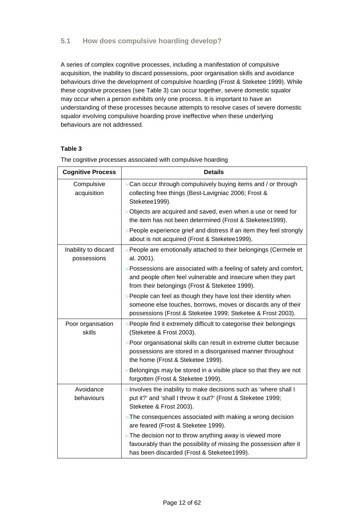#### **5.1 How does compulsive hoarding develop?**

A series of complex cognitive processes, including a manifestation of compulsive acquisition, the inability to discard possessions, poor organisation skills and avoidance behaviours drive the development of compulsive hoarding (Frost & Steketee 1999). While these cognitive processes (see Table 3) can occur together, severe domestic squalor may occur when a person exhibits only one process. It is important to have an understanding of these processes because attempts to resolve cases of severe domestic squalor involving compulsive hoarding prove ineffective when these underlying behaviours are not addressed.

#### **Table 3**

| <b>Cognitive Process</b>            | <b>Details</b>                                                                                                                                                                                 |
|-------------------------------------|------------------------------------------------------------------------------------------------------------------------------------------------------------------------------------------------|
| Compulsive<br>acquisition           | > Can occur through compulsively buying items and / or through<br>collecting free things (Best-Lavigniac 2006; Frost &<br>Steketee1999).                                                       |
|                                     | > Objects are acquired and saved, even when a use or need for<br>the item has not been determined (Frost & Steketee1999).                                                                      |
|                                     | > People experience grief and distress if an item they feel strongly<br>about is not acquired (Frost & Steketee1999).                                                                          |
| Inability to discard<br>possessions | > People are emotionally attached to their belongings (Cermele et<br>al. 2001).                                                                                                                |
|                                     | > Possessions are associated with a feeling of safety and comfort,<br>and people often feel vulnerable and insecure when they part<br>from their belongings (Frost & Steketee 1999).           |
|                                     | > People can feel as though they have lost their identity when<br>someone else touches, borrows, moves or discards any of their<br>possessions (Frost & Steketee 1999; Steketee & Frost 2003). |
| Poor organisation<br>skills         | > People find it extremely difficult to categorise their belongings<br>(Steketee & Frost 2003).                                                                                                |
|                                     | > Poor organisational skills can result in extreme clutter because<br>possessions are stored in a disorganised manner throughout<br>the home (Frost & Steketee 1999).                          |
|                                     | > Belongings may be stored in a visible place so that they are not<br>forgotten (Frost & Steketee 1999).                                                                                       |
| Avoidance<br>behaviours             | > Involves the inability to make decisions such as 'where shall I<br>put it?' and 'shall I throw it out?' (Frost & Steketee 1999;<br>Steketee & Frost 2003).                                   |
|                                     | $>$ The consequences associated with making a wrong decision<br>are feared (Frost & Steketee 1999).                                                                                            |
|                                     | > The decision not to throw anything away is viewed more<br>favourably than the possibility of missing the possession after it<br>has been discarded (Frost & Steketee1999).                   |

The cognitive processes associated with compulsive hoarding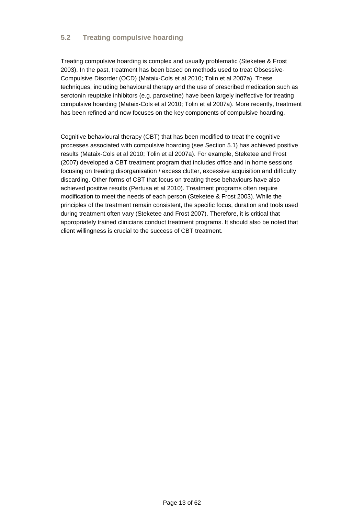#### **5.2 Treating compulsive hoarding**

Treating compulsive hoarding is complex and usually problematic (Steketee & Frost 2003). In the past, treatment has been based on methods used to treat Obsessive-Compulsive Disorder (OCD) (Mataix-Cols et al 2010; Tolin et al 2007a). These techniques, including behavioural therapy and the use of prescribed medication such as serotonin reuptake inhibitors (e.g. paroxetine) have been largely ineffective for treating compulsive hoarding (Mataix-Cols et al 2010; Tolin et al 2007a). More recently, treatment has been refined and now focuses on the key components of compulsive hoarding.

Cognitive behavioural therapy (CBT) that has been modified to treat the cognitive processes associated with compulsive hoarding (see Section 5.1) has achieved positive results (Mataix-Cols et al 2010; Tolin et al 2007a). For example, Steketee and Frost (2007) developed a CBT treatment program that includes office and in home sessions focusing on treating disorganisation / excess clutter, excessive acquisition and difficulty discarding. Other forms of CBT that focus on treating these behaviours have also achieved positive results (Pertusa et al 2010). Treatment programs often require modification to meet the needs of each person (Steketee & Frost 2003). While the principles of the treatment remain consistent, the specific focus, duration and tools used during treatment often vary (Steketee and Frost 2007). Therefore, it is critical that appropriately trained clinicians conduct treatment programs. It should also be noted that client willingness is crucial to the success of CBT treatment.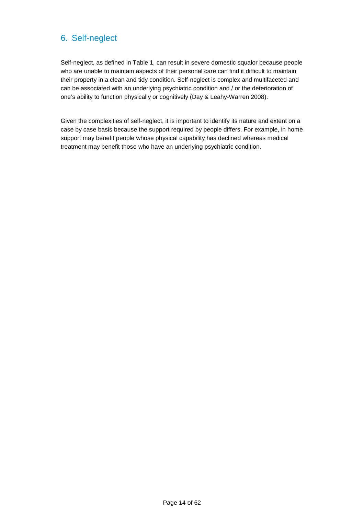## 6. Self-neglect

Self-neglect, as defined in Table 1, can result in severe domestic squalor because people who are unable to maintain aspects of their personal care can find it difficult to maintain their property in a clean and tidy condition. Self-neglect is complex and multifaceted and can be associated with an underlying psychiatric condition and / or the deterioration of one's ability to function physically or cognitively (Day & Leahy-Warren 2008).

Given the complexities of self-neglect, it is important to identify its nature and extent on a case by case basis because the support required by people differs. For example, in home support may benefit people whose physical capability has declined whereas medical treatment may benefit those who have an underlying psychiatric condition.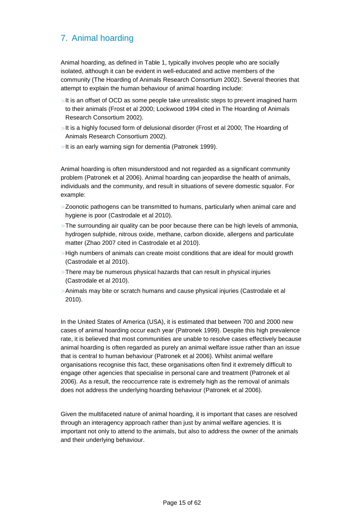## 7. Animal hoarding

Animal hoarding, as defined in Table 1, typically involves people who are socially isolated, although it can be evident in well-educated and active members of the community (The Hoarding of Animals Research Consortium 2002). Several theories that attempt to explain the human behaviour of animal hoarding include:

- $>$  It is an offset of OCD as some people take unrealistic steps to prevent imagined harm to their animals (Frost et al 2000; Lockwood 1994 cited in The Hoarding of Animals Research Consortium 2002).
- > It is a highly focused form of delusional disorder (Frost et al 2000; The Hoarding of Animals Research Consortium 2002).
- > It is an early warning sign for dementia (Patronek 1999).

Animal hoarding is often misunderstood and not regarded as a significant community problem (Patronek et al 2006). Animal hoarding can jeopardise the health of animals, individuals and the community, and result in situations of severe domestic squalor. For example:

- > Zoonotic pathogens can be transmitted to humans, particularly when animal care and hygiene is poor (Castrodale et al 2010).
- $>$  The surrounding air quality can be poor because there can be high levels of ammonia, hydrogen sulphide, nitrous oxide, methane, carbon dioxide, allergens and particulate matter (Zhao 2007 cited in Castrodale et al 2010).
- $>$  High numbers of animals can create moist conditions that are ideal for mould growth (Castrodale et al 2010).
- > There may be numerous physical hazards that can result in physical injuries (Castrodale et al 2010).
- > Animals may bite or scratch humans and cause physical injuries (Castrodale et al 2010).

In the United States of America (USA), it is estimated that between 700 and 2000 new cases of animal hoarding occur each year (Patronek 1999). Despite this high prevalence rate, it is believed that most communities are unable to resolve cases effectively because animal hoarding is often regarded as purely an animal welfare issue rather than an issue that is central to human behaviour (Patronek et al 2006). Whilst animal welfare organisations recognise this fact, these organisations often find it extremely difficult to engage other agencies that specialise in personal care and treatment (Patronek et al 2006). As a result, the reoccurrence rate is extremely high as the removal of animals does not address the underlying hoarding behaviour (Patronek et al 2006).

Given the multifaceted nature of animal hoarding, it is important that cases are resolved through an interagency approach rather than just by animal welfare agencies. It is important not only to attend to the animals, but also to address the owner of the animals and their underlying behaviour.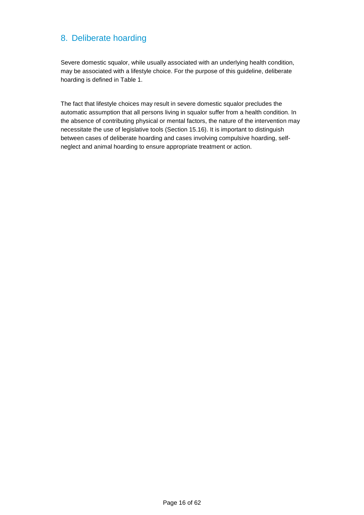## 8. Deliberate hoarding

Severe domestic squalor, while usually associated with an underlying health condition, may be associated with a lifestyle choice. For the purpose of this guideline, deliberate hoarding is defined in Table 1.

The fact that lifestyle choices may result in severe domestic squalor precludes the automatic assumption that all persons living in squalor suffer from a health condition. In the absence of contributing physical or mental factors, the nature of the intervention may necessitate the use of legislative tools (Section 15.16). It is important to distinguish between cases of deliberate hoarding and cases involving compulsive hoarding, selfneglect and animal hoarding to ensure appropriate treatment or action.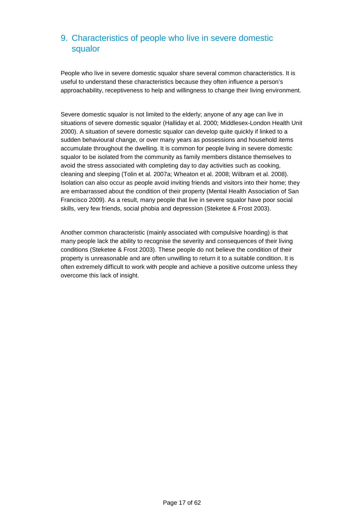## 9. Characteristics of people who live in severe domestic squalor

People who live in severe domestic squalor share several common characteristics. It is useful to understand these characteristics because they often influence a person's approachability, receptiveness to help and willingness to change their living environment.

Severe domestic squalor is not limited to the elderly; anyone of any age can live in situations of severe domestic squalor (Halliday et al. 2000; Middlesex-London Health Unit 2000). A situation of severe domestic squalor can develop quite quickly if linked to a sudden behavioural change, or over many years as possessions and household items accumulate throughout the dwelling. It is common for people living in severe domestic squalor to be isolated from the community as family members distance themselves to avoid the stress associated with completing day to day activities such as cooking, cleaning and sleeping (Tolin et al. 2007a; Wheaton et al. 2008; Wilbram et al. 2008). Isolation can also occur as people avoid inviting friends and visitors into their home; they are embarrassed about the condition of their property (Mental Health Association of San Francisco 2009). As a result, many people that live in severe squalor have poor social skills, very few friends, social phobia and depression (Steketee & Frost 2003).

Another common characteristic (mainly associated with compulsive hoarding) is that many people lack the ability to recognise the severity and consequences of their living conditions (Steketee & Frost 2003). These people do not believe the condition of their property is unreasonable and are often unwilling to return it to a suitable condition. It is often extremely difficult to work with people and achieve a positive outcome unless they overcome this lack of insight.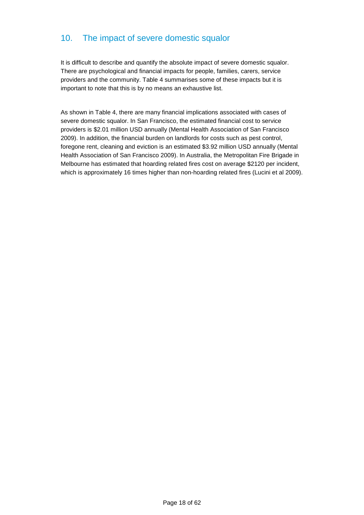## 10. The impact of severe domestic squalor

It is difficult to describe and quantify the absolute impact of severe domestic squalor. There are psychological and financial impacts for people, families, carers, service providers and the community. Table 4 summarises some of these impacts but it is important to note that this is by no means an exhaustive list.

As shown in Table 4, there are many financial implications associated with cases of severe domestic squalor. In San Francisco, the estimated financial cost to service providers is \$2.01 million USD annually (Mental Health Association of San Francisco 2009). In addition, the financial burden on landlords for costs such as pest control, foregone rent, cleaning and eviction is an estimated \$3.92 million USD annually (Mental Health Association of San Francisco 2009). In Australia, the Metropolitan Fire Brigade in Melbourne has estimated that hoarding related fires cost on average \$2120 per incident, which is approximately 16 times higher than non-hoarding related fires (Lucini et al 2009).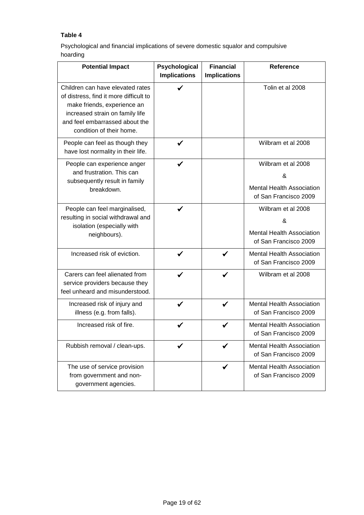#### **Table 4**

Psychological and financial implications of severe domestic squalor and compulsive hoarding

| <b>Potential Impact</b>                                                                                                                                                                                    | Psychological<br><b>Implications</b> | <b>Financial</b><br><b>Implications</b> | <b>Reference</b>                                                                     |
|------------------------------------------------------------------------------------------------------------------------------------------------------------------------------------------------------------|--------------------------------------|-----------------------------------------|--------------------------------------------------------------------------------------|
| Children can have elevated rates<br>of distress, find it more difficult to<br>make friends, experience an<br>increased strain on family life<br>and feel embarrassed about the<br>condition of their home. |                                      |                                         | Tolin et al 2008                                                                     |
| People can feel as though they<br>have lost normality in their life.                                                                                                                                       | ✓                                    |                                         | Wilbram et al 2008                                                                   |
| People can experience anger<br>and frustration. This can<br>subsequently result in family<br>breakdown.                                                                                                    |                                      |                                         | Wilbram et al 2008<br>&<br><b>Mental Health Association</b><br>of San Francisco 2009 |
| People can feel marginalised,<br>resulting in social withdrawal and<br>isolation (especially with<br>neighbours).                                                                                          | ✔                                    |                                         | Wilbram et al 2008<br>&<br><b>Mental Health Association</b><br>of San Francisco 2009 |
| Increased risk of eviction.                                                                                                                                                                                | ✔                                    | ✔                                       | <b>Mental Health Association</b><br>of San Francisco 2009                            |
| Carers can feel alienated from<br>service providers because they<br>feel unheard and misunderstood.                                                                                                        | ✓                                    | ✔                                       | Wilbram et al 2008                                                                   |
| Increased risk of injury and<br>illness (e.g. from falls).                                                                                                                                                 | ✔                                    | ✔                                       | <b>Mental Health Association</b><br>of San Francisco 2009                            |
| Increased risk of fire.                                                                                                                                                                                    |                                      |                                         | <b>Mental Health Association</b><br>of San Francisco 2009                            |
| Rubbish removal / clean-ups.                                                                                                                                                                               | ✔                                    | ✔                                       | <b>Mental Health Association</b><br>of San Francisco 2009                            |
| The use of service provision<br>from government and non-<br>government agencies.                                                                                                                           |                                      | $\checkmark$                            | <b>Mental Health Association</b><br>of San Francisco 2009                            |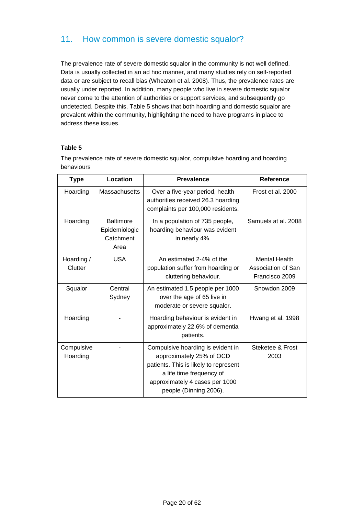## 11. How common is severe domestic squalor?

The prevalence rate of severe domestic squalor in the community is not well defined. Data is usually collected in an ad hoc manner, and many studies rely on self-reported data or are subject to recall bias (Wheaton et al. 2008). Thus, the prevalence rates are usually under reported. In addition, many people who live in severe domestic squalor never come to the attention of authorities or support services, and subsequently go undetected. Despite this, Table 5 shows that both hoarding and domestic squalor are prevalent within the community, highlighting the need to have programs in place to address these issues.

#### **Table 5**

The prevalence rate of severe domestic squalor, compulsive hoarding and hoarding behaviours

| <b>Type</b>            | Location                                               | <b>Prevalence</b>                                                                                                                                                                              | Reference                                                    |
|------------------------|--------------------------------------------------------|------------------------------------------------------------------------------------------------------------------------------------------------------------------------------------------------|--------------------------------------------------------------|
| Hoarding               | Massachusetts                                          | Over a five-year period, health<br>authorities received 26.3 hoarding<br>complaints per 100,000 residents.                                                                                     | Frost et al. 2000                                            |
| Hoarding               | <b>Baltimore</b><br>Epidemiologic<br>Catchment<br>Area | In a population of 735 people,<br>hoarding behaviour was evident<br>in nearly 4%.                                                                                                              | Samuels at al. 2008                                          |
| Hoarding /<br>Clutter  | <b>USA</b>                                             | An estimated 2-4% of the<br>population suffer from hoarding or<br>cluttering behaviour.                                                                                                        | <b>Mental Health</b><br>Association of San<br>Francisco 2009 |
| Squalor                | Central<br>Sydney                                      | An estimated 1.5 people per 1000<br>over the age of 65 live in<br>moderate or severe squalor.                                                                                                  | Snowdon 2009                                                 |
| Hoarding               |                                                        | Hoarding behaviour is evident in<br>approximately 22.6% of dementia<br>patients.                                                                                                               | Hwang et al. 1998                                            |
| Compulsive<br>Hoarding |                                                        | Compulsive hoarding is evident in<br>approximately 25% of OCD<br>patients. This is likely to represent<br>a life time frequency of<br>approximately 4 cases per 1000<br>people (Dinning 2006). | Steketee & Frost<br>2003                                     |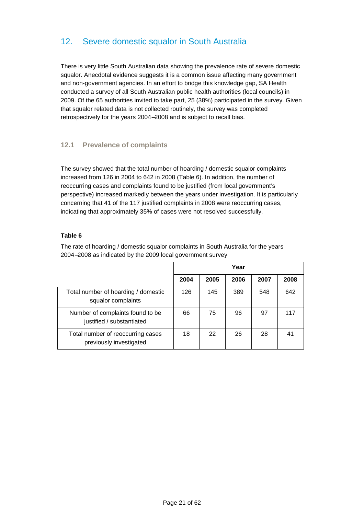## 12. Severe domestic squalor in South Australia

There is very little South Australian data showing the prevalence rate of severe domestic squalor. Anecdotal evidence suggests it is a common issue affecting many government and non-government agencies. In an effort to bridge this knowledge gap, SA Health conducted a survey of all South Australian public health authorities (local councils) in 2009. Of the 65 authorities invited to take part, 25 (38%) participated in the survey. Given that squalor related data is not collected routinely, the survey was completed retrospectively for the years 2004−2008 and is subject to recall bias.

#### **12.1 Prevalence of complaints**

The survey showed that the total number of hoarding / domestic squalor complaints increased from 126 in 2004 to 642 in 2008 (Table 6). In addition, the number of reoccurring cases and complaints found to be justified (from local government's perspective) increased markedly between the years under investigation. It is particularly concerning that 41 of the 117 justified complaints in 2008 were reoccurring cases, indicating that approximately 35% of cases were not resolved successfully.

#### **Table 6**

The rate of hoarding / domestic squalor complaints in South Australia for the years 2004−2008 as indicated by the 2009 local government survey

|                                                               | Year |      |      |      |      |
|---------------------------------------------------------------|------|------|------|------|------|
|                                                               | 2004 | 2005 | 2006 | 2007 | 2008 |
| Total number of hoarding / domestic<br>squalor complaints     | 126  | 145  | 389  | 548  | 642  |
| Number of complaints found to be<br>justified / substantiated | 66   | 75   | 96   | 97   | 117  |
| Total number of reoccurring cases<br>previously investigated  | 18   | 22   | 26   | 28   | 41   |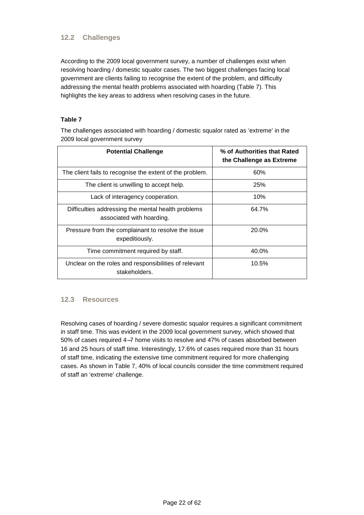#### **12.2 Challenges**

According to the 2009 local government survey, a number of challenges exist when resolving hoarding / domestic squalor cases. The two biggest challenges facing local government are clients failing to recognise the extent of the problem, and difficulty addressing the mental health problems associated with hoarding (Table 7). This highlights the key areas to address when resolving cases in the future.

#### **Table 7**

The challenges associated with hoarding / domestic squalor rated as 'extreme' in the 2009 local government survey

| <b>Potential Challenge</b>                                                      | % of Authorities that Rated<br>the Challenge as Extreme |
|---------------------------------------------------------------------------------|---------------------------------------------------------|
| The client fails to recognise the extent of the problem.                        | 60%                                                     |
| The client is unwilling to accept help.                                         | 25%                                                     |
| Lack of interagency cooperation.                                                | 10%                                                     |
| Difficulties addressing the mental health problems<br>associated with hoarding. | 64.7%                                                   |
| Pressure from the complainant to resolve the issue<br>expeditiously.            | 20.0%                                                   |
| Time commitment required by staff.                                              | 40.0%                                                   |
| Unclear on the roles and responsibilities of relevant<br>stakeholders.          | 10.5%                                                   |

#### **12.3 Resources**

Resolving cases of hoarding / severe domestic squalor requires a significant commitment in staff time. This was evident in the 2009 local government survey, which showed that 50% of cases required 4−7 home visits to resolve and 47% of cases absorbed between 16 and 25 hours of staff time. Interestingly, 17.6% of cases required more than 31 hours of staff time, indicating the extensive time commitment required for more challenging cases. As shown in Table 7, 40% of local councils consider the time commitment required of staff an 'extreme' challenge.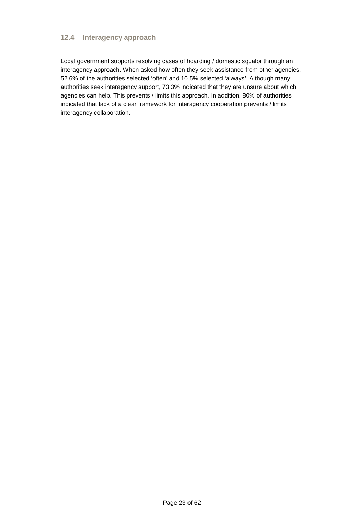#### **12.4 Interagency approach**

Local government supports resolving cases of hoarding / domestic squalor through an interagency approach. When asked how often they seek assistance from other agencies, 52.6% of the authorities selected 'often' and 10.5% selected 'always'. Although many authorities seek interagency support, 73.3% indicated that they are unsure about which agencies can help. This prevents / limits this approach. In addition, 80% of authorities indicated that lack of a clear framework for interagency cooperation prevents / limits interagency collaboration.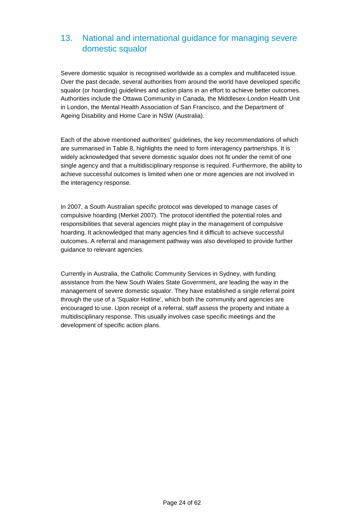## 13. National and international guidance for managing severe domestic squalor

Severe domestic squalor is recognised worldwide as a complex and multifaceted issue. Over the past decade, several authorities from around the world have developed specific squalor (or hoarding) guidelines and action plans in an effort to achieve better outcomes. Authorities include the Ottawa Community in Canada, the Middlesex-London Health Unit in London, the Mental Health Association of San Francisco, and the Department of Ageing Disability and Home Care in NSW (Australia).

Each of the above mentioned authorities' guidelines, the key recommendations of which are summarised in Table 8, highlights the need to form interagency partnerships. It is widely acknowledged that severe domestic squalor does not fit under the remit of one single agency and that a multidisciplinary response is required. Furthermore, the ability to achieve successful outcomes is limited when one or more agencies are not involved in the interagency response.

In 2007, a South Australian specific protocol was developed to manage cases of compulsive hoarding (Merkel 2007). The protocol identified the potential roles and responsibilities that several agencies might play in the management of compulsive hoarding. It acknowledged that many agencies find it difficult to achieve successful outcomes. A referral and management pathway was also developed to provide further guidance to relevant agencies.

Currently in Australia, the Catholic Community Services in Sydney, with funding assistance from the New South Wales State Government, are leading the way in the management of severe domestic squalor. They have established a single referral point through the use of a 'Squalor Hotline', which both the community and agencies are encouraged to use. Upon receipt of a referral, staff assess the property and initiate a multidisciplinary response. This usually involves case specific meetings and the development of specific action plans.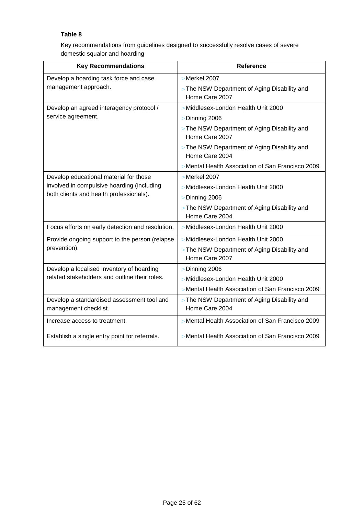#### **Table 8**

Key recommendations from guidelines designed to successfully resolve cases of severe domestic squalor and hoarding

| <b>Key Recommendations</b>                                          | <b>Reference</b>                                               |  |  |
|---------------------------------------------------------------------|----------------------------------------------------------------|--|--|
| Develop a hoarding task force and case                              | > Merkel 2007                                                  |  |  |
| management approach.                                                | > The NSW Department of Aging Disability and<br>Home Care 2007 |  |  |
| Develop an agreed interagency protocol /                            | > Middlesex-London Health Unit 2000                            |  |  |
| service agreement.                                                  | $>$ Dinning 2006                                               |  |  |
|                                                                     | > The NSW Department of Aging Disability and<br>Home Care 2007 |  |  |
|                                                                     | > The NSW Department of Aging Disability and<br>Home Care 2004 |  |  |
|                                                                     | > Mental Health Association of San Francisco 2009              |  |  |
| Develop educational material for those                              | > Merkel 2007                                                  |  |  |
| involved in compulsive hoarding (including                          | > Middlesex-London Health Unit 2000                            |  |  |
| both clients and health professionals).                             | $>$ Dinning 2006                                               |  |  |
|                                                                     | > The NSW Department of Aging Disability and<br>Home Care 2004 |  |  |
| Focus efforts on early detection and resolution.                    | > Middlesex-London Health Unit 2000                            |  |  |
| Provide ongoing support to the person (relapse                      | > Middlesex-London Health Unit 2000                            |  |  |
| prevention).                                                        | > The NSW Department of Aging Disability and<br>Home Care 2007 |  |  |
| Develop a localised inventory of hoarding                           | $>$ Dinning 2006                                               |  |  |
| related stakeholders and outline their roles.                       | > Middlesex-London Health Unit 2000                            |  |  |
|                                                                     | > Mental Health Association of San Francisco 2009              |  |  |
| Develop a standardised assessment tool and<br>management checklist. | > The NSW Department of Aging Disability and<br>Home Care 2004 |  |  |
| Increase access to treatment.                                       | > Mental Health Association of San Francisco 2009              |  |  |
| Establish a single entry point for referrals.                       | > Mental Health Association of San Francisco 2009              |  |  |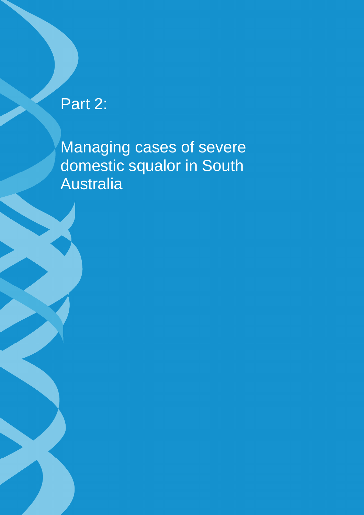## Part 2:

Managing cases of severe domestic squalor in South Australia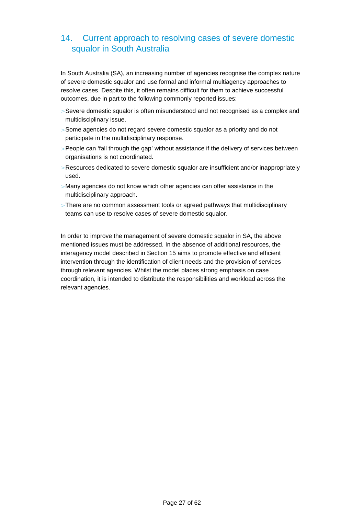## 14. Current approach to resolving cases of severe domestic squalor in South Australia

In South Australia (SA), an increasing number of agencies recognise the complex nature of severe domestic squalor and use formal and informal multiagency approaches to resolve cases. Despite this, it often remains difficult for them to achieve successful outcomes, due in part to the following commonly reported issues:

- > Severe domestic squalor is often misunderstood and not recognised as a complex and multidisciplinary issue.
- > Some agencies do not regard severe domestic squalor as a priority and do not participate in the multidisciplinary response.
- > People can 'fall through the gap' without assistance if the delivery of services between organisations is not coordinated.
- > Resources dedicated to severe domestic squalor are insufficient and/or inappropriately used.
- > Many agencies do not know which other agencies can offer assistance in the multidisciplinary approach.
- > There are no common assessment tools or agreed pathways that multidisciplinary teams can use to resolve cases of severe domestic squalor.

In order to improve the management of severe domestic squalor in SA, the above mentioned issues must be addressed. In the absence of additional resources, the interagency model described in Section 15 aims to promote effective and efficient intervention through the identification of client needs and the provision of services through relevant agencies. Whilst the model places strong emphasis on case coordination, it is intended to distribute the responsibilities and workload across the relevant agencies.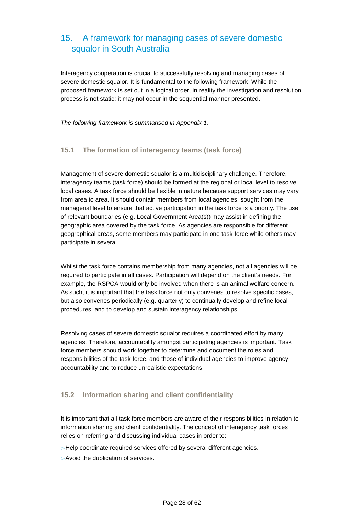## 15. A framework for managing cases of severe domestic squalor in South Australia

Interagency cooperation is crucial to successfully resolving and managing cases of severe domestic squalor. It is fundamental to the following framework. While the proposed framework is set out in a logical order, in reality the investigation and resolution process is not static; it may not occur in the sequential manner presented.

The following framework is summarised in Appendix 1.

#### **15.1 The formation of interagency teams (task force)**

Management of severe domestic squalor is a multidisciplinary challenge. Therefore, interagency teams (task force) should be formed at the regional or local level to resolve local cases. A task force should be flexible in nature because support services may vary from area to area. It should contain members from local agencies, sought from the managerial level to ensure that active participation in the task force is a priority. The use of relevant boundaries (e.g. Local Government Area(s)) may assist in defining the geographic area covered by the task force. As agencies are responsible for different geographical areas, some members may participate in one task force while others may participate in several.

Whilst the task force contains membership from many agencies, not all agencies will be required to participate in all cases. Participation will depend on the client's needs. For example, the RSPCA would only be involved when there is an animal welfare concern. As such, it is important that the task force not only convenes to resolve specific cases, but also convenes periodically (e.g. quarterly) to continually develop and refine local procedures, and to develop and sustain interagency relationships.

Resolving cases of severe domestic squalor requires a coordinated effort by many agencies. Therefore, accountability amongst participating agencies is important. Task force members should work together to determine and document the roles and responsibilities of the task force, and those of individual agencies to improve agency accountability and to reduce unrealistic expectations.

#### **15.2 Information sharing and client confidentiality**

It is important that all task force members are aware of their responsibilities in relation to information sharing and client confidentiality. The concept of interagency task forces relies on referring and discussing individual cases in order to:

- > Help coordinate required services offered by several different agencies.
- > Avoid the duplication of services.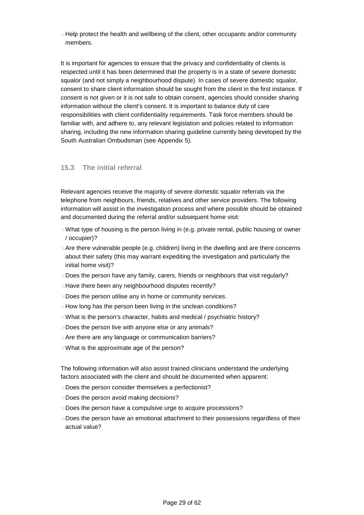> Help protect the health and wellbeing of the client, other occupants and/or community members.

It is important for agencies to ensure that the privacy and confidentiality of clients is respected until it has been determined that the property is in a state of severe domestic squalor (and not simply a neighbourhood dispute). In cases of severe domestic squalor, consent to share client information should be sought from the client in the first instance. If consent is not given or it is not safe to obtain consent, agencies should consider sharing information without the client's consent. It is important to balance duty of care responsibilities with client confidentiality requirements. Task force members should be familiar with, and adhere to, any relevant legislation and policies related to information sharing, including the new information sharing guideline currently being developed by the South Australian Ombudsman (see Appendix 5).

#### **15.3 The initial referral**

Relevant agencies receive the majority of severe domestic squalor referrals via the telephone from neighbours, friends, relatives and other service providers. The following information will assist in the investigation process and where possible should be obtained and documented during the referral and/or subsequent home visit:

- > What type of housing is the person living in (e.g. private rental, public housing or owner / occupier)?
- > Are there vulnerable people (e.g. children) living in the dwelling and are there concerns about their safety (this may warrant expediting the investigation and particularly the initial home visit)?
- > Does the person have any family, carers, friends or neighbours that visit regularly?
- > Have there been any neighbourhood disputes recently?
- > Does the person utilise any in home or community services.
- > How long has the person been living in the unclean conditions?
- > What is the person's character, habits and medical / psychiatric history?
- > Does the person live with anyone else or any animals?
- > Are there are any language or communication barriers?
- > What is the approximate age of the person?

The following information will also assist trained clinicians understand the underlying factors associated with the client and should be documented when apparent:

- > Does the person consider themselves a perfectionist?
- > Does the person avoid making decisions?
- > Does the person have a compulsive urge to acquire processions?
- $>$  Does the person have an emotional attachment to their possessions regardless of their actual value?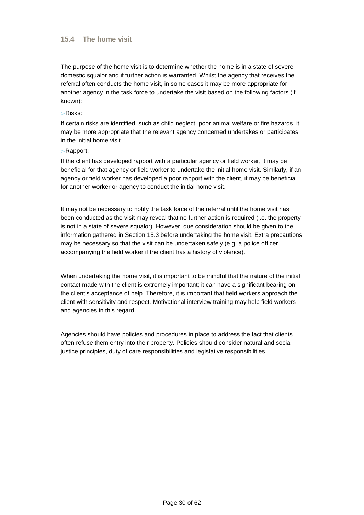#### **15.4 The home visit**

The purpose of the home visit is to determine whether the home is in a state of severe domestic squalor and if further action is warranted. Whilst the agency that receives the referral often conducts the home visit, in some cases it may be more appropriate for another agency in the task force to undertake the visit based on the following factors (if known):

> Risks:

If certain risks are identified, such as child neglect, poor animal welfare or fire hazards, it may be more appropriate that the relevant agency concerned undertakes or participates in the initial home visit.

#### > Rapport:

If the client has developed rapport with a particular agency or field worker, it may be beneficial for that agency or field worker to undertake the initial home visit. Similarly, if an agency or field worker has developed a poor rapport with the client, it may be beneficial for another worker or agency to conduct the initial home visit.

It may not be necessary to notify the task force of the referral until the home visit has been conducted as the visit may reveal that no further action is required (i.e. the property is not in a state of severe squalor). However, due consideration should be given to the information gathered in Section 15.3 before undertaking the home visit. Extra precautions may be necessary so that the visit can be undertaken safely (e.g. a police officer accompanying the field worker if the client has a history of violence).

When undertaking the home visit, it is important to be mindful that the nature of the initial contact made with the client is extremely important; it can have a significant bearing on the client's acceptance of help. Therefore, it is important that field workers approach the client with sensitivity and respect. Motivational interview training may help field workers and agencies in this regard.

Agencies should have policies and procedures in place to address the fact that clients often refuse them entry into their property. Policies should consider natural and social justice principles, duty of care responsibilities and legislative responsibilities.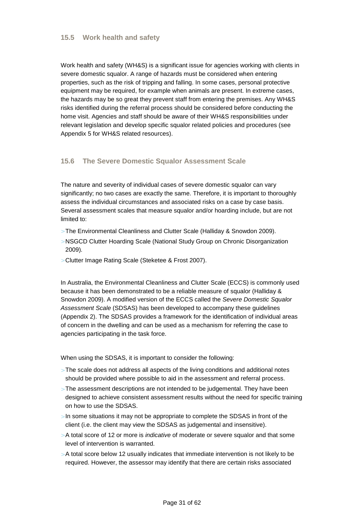#### **15.5 Work health and safety**

Work health and safety (WH&S) is a significant issue for agencies working with clients in severe domestic squalor. A range of hazards must be considered when entering properties, such as the risk of tripping and falling. In some cases, personal protective equipment may be required, for example when animals are present. In extreme cases, the hazards may be so great they prevent staff from entering the premises. Any WH&S risks identified during the referral process should be considered before conducting the home visit. Agencies and staff should be aware of their WH&S responsibilities under relevant legislation and develop specific squalor related policies and procedures (see Appendix 5 for WH&S related resources).

#### **15.6 The Severe Domestic Squalor Assessment Scale**

The nature and severity of individual cases of severe domestic squalor can vary significantly; no two cases are exactly the same. Therefore, it is important to thoroughly assess the individual circumstances and associated risks on a case by case basis. Several assessment scales that measure squalor and/or hoarding include, but are not limited to:

- > The Environmental Cleanliness and Clutter Scale (Halliday & Snowdon 2009).
- > NSGCD Clutter Hoarding Scale (National Study Group on Chronic Disorganization 2009).
- > Clutter Image Rating Scale (Steketee & Frost 2007).

In Australia, the Environmental Cleanliness and Clutter Scale (ECCS) is commonly used because it has been demonstrated to be a reliable measure of squalor (Halliday & Snowdon 2009). A modified version of the ECCS called the Severe Domestic Squalor Assessment Scale (SDSAS) has been developed to accompany these guidelines (Appendix 2). The SDSAS provides a framework for the identification of individual areas of concern in the dwelling and can be used as a mechanism for referring the case to agencies participating in the task force.

When using the SDSAS, it is important to consider the following:

- $>$  The scale does not address all aspects of the living conditions and additional notes should be provided where possible to aid in the assessment and referral process.
- > The assessment descriptions are not intended to be judgemental. They have been designed to achieve consistent assessment results without the need for specific training on how to use the SDSAS.
- $>$  In some situations it may not be appropriate to complete the SDSAS in front of the client (i.e. the client may view the SDSAS as judgemental and insensitive).
- $>$  A total score of 12 or more is *indicative* of moderate or severe squalor and that some level of intervention is warranted.
- $>$  A total score below 12 usually indicates that immediate intervention is not likely to be required. However, the assessor may identify that there are certain risks associated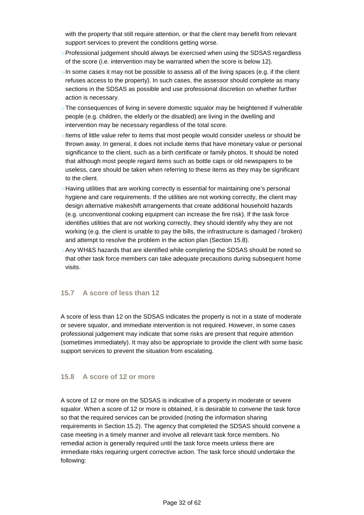with the property that still require attention, or that the client may benefit from relevant support services to prevent the conditions getting worse.

- > Professional judgement should always be exercised when using the SDSAS regardless of the score (i.e. intervention may be warranted when the score is below 12).
- $>$  In some cases it may not be possible to assess all of the living spaces (e.g. if the client refuses access to the property). In such cases, the assessor should complete as many sections in the SDSAS as possible and use professional discretion on whether further action is necessary.
- > The consequences of living in severe domestic squalor may be heightened if vulnerable people (e.g. children, the elderly or the disabled) are living in the dwelling and intervention may be necessary regardless of the total score.
- > Items of little value refer to items that most people would consider useless or should be thrown away. In general, it does not include items that have monetary value or personal significance to the client, such as a birth certificate or family photos. It should be noted that although most people regard items such as bottle caps or old newspapers to be useless, care should be taken when referring to these items as they may be significant to the client.
- > Having utilities that are working correctly is essential for maintaining one's personal hygiene and care requirements. If the utilities are not working correctly, the client may design alternative makeshift arrangements that create additional household hazards (e.g. unconventional cooking equipment can increase the fire risk). If the task force identifies utilities that are not working correctly, they should identify why they are not working (e.g. the client is unable to pay the bills, the infrastructure is damaged / broken) and attempt to resolve the problem in the action plan (Section 15.8).
- > Any WH&S hazards that are identified while completing the SDSAS should be noted so that other task force members can take adequate precautions during subsequent home visits.

#### **15.7 A score of less than 12**

A score of less than 12 on the SDSAS indicates the property is not in a state of moderate or severe squalor, and immediate intervention is not required. However, in some cases professional judgement may indicate that some risks are present that require attention (sometimes immediately). It may also be appropriate to provide the client with some basic support services to prevent the situation from escalating.

#### **15.8 A score of 12 or more**

A score of 12 or more on the SDSAS is indicative of a property in moderate or severe squalor. When a score of 12 or more is obtained, it is desirable to convene the task force so that the required services can be provided (noting the information sharing requirements in Section 15.2). The agency that completed the SDSAS should convene a case meeting in a timely manner and involve all relevant task force members. No remedial action is generally required until the task force meets unless there are immediate risks requiring urgent corrective action. The task force should undertake the following: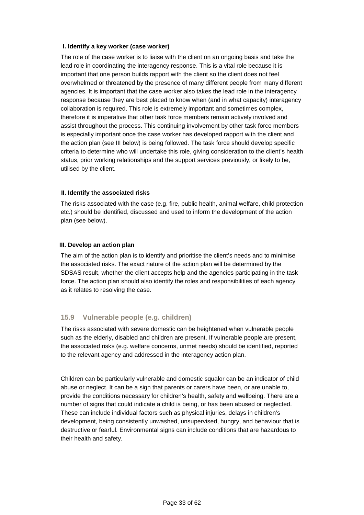#### **I. Identify a key worker (case worker)**

The role of the case worker is to liaise with the client on an ongoing basis and take the lead role in coordinating the interagency response. This is a vital role because it is important that one person builds rapport with the client so the client does not feel overwhelmed or threatened by the presence of many different people from many different agencies. It is important that the case worker also takes the lead role in the interagency response because they are best placed to know when (and in what capacity) interagency collaboration is required. This role is extremely important and sometimes complex, therefore it is imperative that other task force members remain actively involved and assist throughout the process. This continuing involvement by other task force members is especially important once the case worker has developed rapport with the client and the action plan (see III below) is being followed. The task force should develop specific criteria to determine who will undertake this role, giving consideration to the client's health status, prior working relationships and the support services previously, or likely to be, utilised by the client.

#### **II. Identify the associated risks**

The risks associated with the case (e.g. fire, public health, animal welfare, child protection etc.) should be identified, discussed and used to inform the development of the action plan (see below).

#### **III. Develop an action plan**

The aim of the action plan is to identify and prioritise the client's needs and to minimise the associated risks. The exact nature of the action plan will be determined by the SDSAS result, whether the client accepts help and the agencies participating in the task force. The action plan should also identify the roles and responsibilities of each agency as it relates to resolving the case.

#### **15.9 Vulnerable people (e.g. children)**

The risks associated with severe domestic can be heightened when vulnerable people such as the elderly, disabled and children are present. If vulnerable people are present, the associated risks (e.g. welfare concerns, unmet needs) should be identified, reported to the relevant agency and addressed in the interagency action plan.

Children can be particularly vulnerable and domestic squalor can be an indicator of child abuse or neglect. It can be a sign that parents or carers have been, or are unable to, provide the conditions necessary for children's health, safety and wellbeing. There are a number of signs that could indicate a child is being, or has been abused or neglected. These can include individual factors such as physical injuries, delays in children's development, being consistently unwashed, unsupervised, hungry, and behaviour that is destructive or fearful. Environmental signs can include conditions that are hazardous to their health and safety.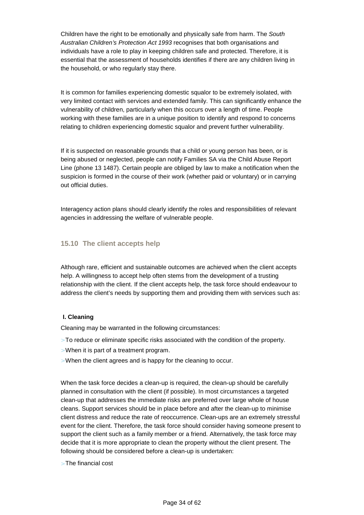Children have the right to be emotionally and physically safe from harm. The South Australian Children's Protection Act 1993 recognises that both organisations and individuals have a role to play in keeping children safe and protected. Therefore, it is essential that the assessment of households identifies if there are any children living in the household, or who regularly stay there.

It is common for families experiencing domestic squalor to be extremely isolated, with very limited contact with services and extended family. This can significantly enhance the vulnerability of children, particularly when this occurs over a length of time. People working with these families are in a unique position to identify and respond to concerns relating to children experiencing domestic squalor and prevent further vulnerability.

If it is suspected on reasonable grounds that a child or young person has been, or is being abused or neglected, people can notify Families SA via the Child Abuse Report Line (phone 13 1487). Certain people are obliged by law to make a notification when the suspicion is formed in the course of their work (whether paid or voluntary) or in carrying out official duties.

Interagency action plans should clearly identify the roles and responsibilities of relevant agencies in addressing the welfare of vulnerable people.

#### **15.10 The client accepts help**

Although rare, efficient and sustainable outcomes are achieved when the client accepts help. A willingness to accept help often stems from the development of a trusting relationship with the client. If the client accepts help, the task force should endeavour to address the client's needs by supporting them and providing them with services such as:

#### **I. Cleaning**

Cleaning may be warranted in the following circumstances:

- > To reduce or eliminate specific risks associated with the condition of the property.
- > When it is part of a treatment program.
- > When the client agrees and is happy for the cleaning to occur.

When the task force decides a clean-up is required, the clean-up should be carefully planned in consultation with the client (if possible). In most circumstances a targeted clean-up that addresses the immediate risks are preferred over large whole of house cleans. Support services should be in place before and after the clean-up to minimise client distress and reduce the rate of reoccurrence. Clean-ups are an extremely stressful event for the client. Therefore, the task force should consider having someone present to support the client such as a family member or a friend. Alternatively, the task force may decide that it is more appropriate to clean the property without the client present. The following should be considered before a clean-up is undertaken:

> The financial cost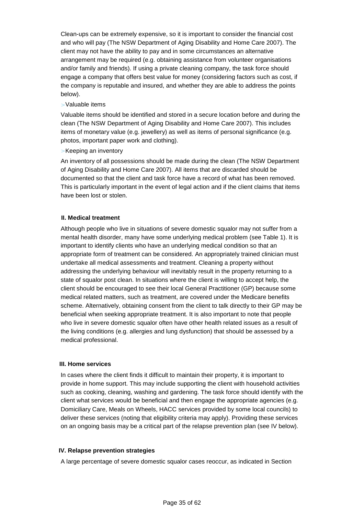Clean-ups can be extremely expensive, so it is important to consider the financial cost and who will pay (The NSW Department of Aging Disability and Home Care 2007). The client may not have the ability to pay and in some circumstances an alternative arrangement may be required (e.g. obtaining assistance from volunteer organisations and/or family and friends). If using a private cleaning company, the task force should engage a company that offers best value for money (considering factors such as cost, if the company is reputable and insured, and whether they are able to address the points below).

#### > Valuable items

Valuable items should be identified and stored in a secure location before and during the clean (The NSW Department of Aging Disability and Home Care 2007). This includes items of monetary value (e.g. jewellery) as well as items of personal significance (e.g. photos, important paper work and clothing).

#### > Keeping an inventory

An inventory of all possessions should be made during the clean (The NSW Department of Aging Disability and Home Care 2007). All items that are discarded should be documented so that the client and task force have a record of what has been removed. This is particularly important in the event of legal action and if the client claims that items have been lost or stolen.

#### **II. Medical treatment**

Although people who live in situations of severe domestic squalor may not suffer from a mental health disorder, many have some underlying medical problem (see Table 1). It is important to identify clients who have an underlying medical condition so that an appropriate form of treatment can be considered. An appropriately trained clinician must undertake all medical assessments and treatment. Cleaning a property without addressing the underlying behaviour will inevitably result in the property returning to a state of squalor post clean. In situations where the client is willing to accept help, the client should be encouraged to see their local General Practitioner (GP) because some medical related matters, such as treatment, are covered under the Medicare benefits scheme. Alternatively, obtaining consent from the client to talk directly to their GP may be beneficial when seeking appropriate treatment. It is also important to note that people who live in severe domestic squalor often have other health related issues as a result of the living conditions (e.g. allergies and lung dysfunction) that should be assessed by a medical professional.

#### **III. Home services**

In cases where the client finds it difficult to maintain their property, it is important to provide in home support. This may include supporting the client with household activities such as cooking, cleaning, washing and gardening. The task force should identify with the client what services would be beneficial and then engage the appropriate agencies (e.g. Domiciliary Care, Meals on Wheels, HACC services provided by some local councils) to deliver these services (noting that eligibility criteria may apply). Providing these services on an ongoing basis may be a critical part of the relapse prevention plan (see IV below).

#### **IV. Relapse prevention strategies**

A large percentage of severe domestic squalor cases reoccur, as indicated in Section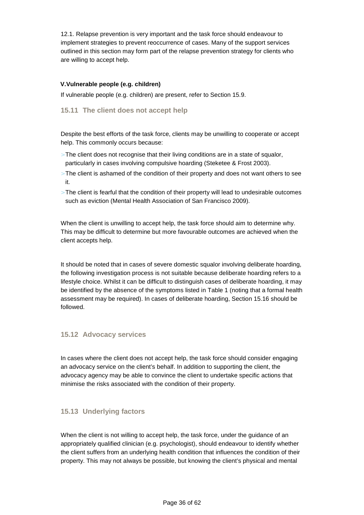12.1. Relapse prevention is very important and the task force should endeavour to implement strategies to prevent reoccurrence of cases. Many of the support services outlined in this section may form part of the relapse prevention strategy for clients who are willing to accept help.

#### **V.Vulnerable people (e.g. children)**

If vulnerable people (e.g. children) are present, refer to Section 15.9.

#### **15.11 The client does not accept help**

Despite the best efforts of the task force, clients may be unwilling to cooperate or accept help. This commonly occurs because:

- $>$  The client does not recognise that their living conditions are in a state of squalor, particularly in cases involving compulsive hoarding (Steketee & Frost 2003).
- > The client is ashamed of the condition of their property and does not want others to see it.
- $>$  The client is fearful that the condition of their property will lead to undesirable outcomes such as eviction (Mental Health Association of San Francisco 2009).

When the client is unwilling to accept help, the task force should aim to determine why. This may be difficult to determine but more favourable outcomes are achieved when the client accepts help.

It should be noted that in cases of severe domestic squalor involving deliberate hoarding, the following investigation process is not suitable because deliberate hoarding refers to a lifestyle choice. Whilst it can be difficult to distinguish cases of deliberate hoarding, it may be identified by the absence of the symptoms listed in Table 1 (noting that a formal health assessment may be required). In cases of deliberate hoarding, Section 15.16 should be followed.

#### **15.12 Advocacy services**

In cases where the client does not accept help, the task force should consider engaging an advocacy service on the client's behalf. In addition to supporting the client, the advocacy agency may be able to convince the client to undertake specific actions that minimise the risks associated with the condition of their property.

#### **15.13 Underlying factors**

When the client is not willing to accept help, the task force, under the guidance of an appropriately qualified clinician (e.g. psychologist), should endeavour to identify whether the client suffers from an underlying health condition that influences the condition of their property. This may not always be possible, but knowing the client's physical and mental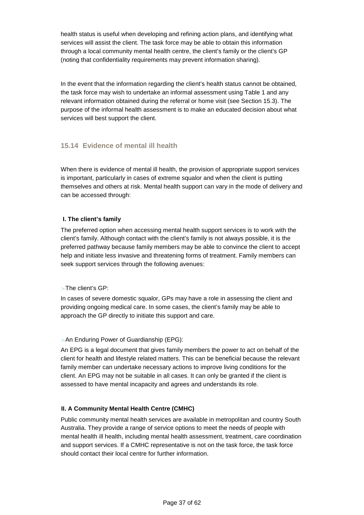health status is useful when developing and refining action plans, and identifying what services will assist the client. The task force may be able to obtain this information through a local community mental health centre, the client's family or the client's GP (noting that confidentiality requirements may prevent information sharing).

In the event that the information regarding the client's health status cannot be obtained, the task force may wish to undertake an informal assessment using Table 1 and any relevant information obtained during the referral or home visit (see Section 15.3). The purpose of the informal health assessment is to make an educated decision about what services will best support the client.

#### **15.14 Evidence of mental ill health**

When there is evidence of mental ill health, the provision of appropriate support services is important, particularly in cases of extreme squalor and when the client is putting themselves and others at risk. Mental health support can vary in the mode of delivery and can be accessed through:

#### **I. The client's family**

The preferred option when accessing mental health support services is to work with the client's family. Although contact with the client's family is not always possible, it is the preferred pathway because family members may be able to convince the client to accept help and initiate less invasive and threatening forms of treatment. Family members can seek support services through the following avenues:

#### > The client's GP:

In cases of severe domestic squalor, GPs may have a role in assessing the client and providing ongoing medical care. In some cases, the client's family may be able to approach the GP directly to initiate this support and care.

#### > An Enduring Power of Guardianship (EPG):

An EPG is a legal document that gives family members the power to act on behalf of the client for health and lifestyle related matters. This can be beneficial because the relevant family member can undertake necessary actions to improve living conditions for the client. An EPG may not be suitable in all cases. It can only be granted if the client is assessed to have mental incapacity and agrees and understands its role.

#### **II. A Community Mental Health Centre (CMHC)**

Public community mental health services are available in metropolitan and country South Australia. They provide a range of service options to meet the needs of people with mental health ill health, including mental health assessment, treatment, care coordination and support services. If a CMHC representative is not on the task force, the task force should contact their local centre for further information.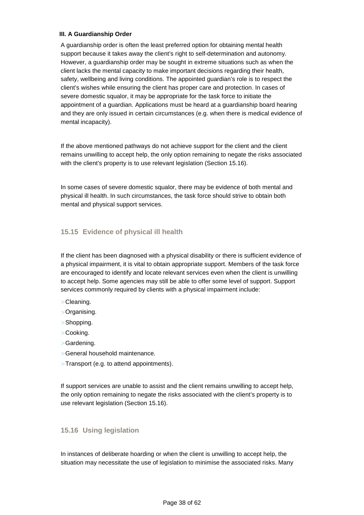#### **III. A Guardianship Order**

A guardianship order is often the least preferred option for obtaining mental health support because it takes away the client's right to self-determination and autonomy. However, a guardianship order may be sought in extreme situations such as when the client lacks the mental capacity to make important decisions regarding their health, safety, wellbeing and living conditions. The appointed guardian's role is to respect the client's wishes while ensuring the client has proper care and protection. In cases of severe domestic squalor, it may be appropriate for the task force to initiate the appointment of a guardian. Applications must be heard at a guardianship board hearing and they are only issued in certain circumstances (e.g. when there is medical evidence of mental incapacity).

If the above mentioned pathways do not achieve support for the client and the client remains unwilling to accept help, the only option remaining to negate the risks associated with the client's property is to use relevant legislation (Section 15.16).

In some cases of severe domestic squalor, there may be evidence of both mental and physical ill health. In such circumstances, the task force should strive to obtain both mental and physical support services.

#### **15.15 Evidence of physical ill health**

If the client has been diagnosed with a physical disability or there is sufficient evidence of a physical impairment, it is vital to obtain appropriate support. Members of the task force are encouraged to identify and locate relevant services even when the client is unwilling to accept help. Some agencies may still be able to offer some level of support. Support services commonly required by clients with a physical impairment include:

- > Cleaning.
- > Organising.
- > Shopping.
- > Cooking.
- > Gardening.
- > General household maintenance.
- > Transport (e.g. to attend appointments).

If support services are unable to assist and the client remains unwilling to accept help, the only option remaining to negate the risks associated with the client's property is to use relevant legislation (Section 15.16).

#### **15.16 Using legislation**

In instances of deliberate hoarding or when the client is unwilling to accept help, the situation may necessitate the use of legislation to minimise the associated risks. Many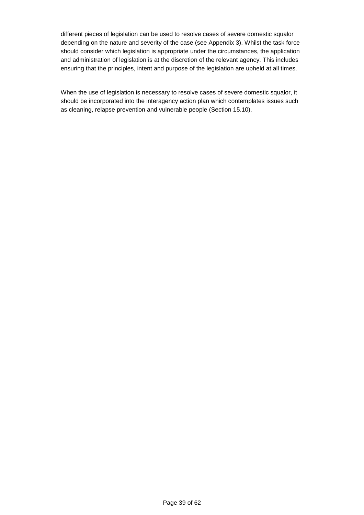different pieces of legislation can be used to resolve cases of severe domestic squalor depending on the nature and severity of the case (see Appendix 3). Whilst the task force should consider which legislation is appropriate under the circumstances, the application and administration of legislation is at the discretion of the relevant agency. This includes ensuring that the principles, intent and purpose of the legislation are upheld at all times.

When the use of legislation is necessary to resolve cases of severe domestic squalor, it should be incorporated into the interagency action plan which contemplates issues such as cleaning, relapse prevention and vulnerable people (Section 15.10).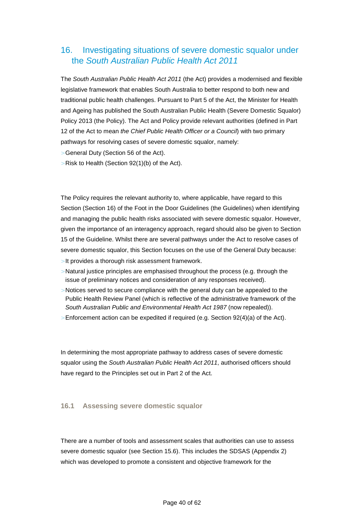## 16. Investigating situations of severe domestic squalor under the South Australian Public Health Act 2011

The South Australian Public Health Act 2011 (the Act) provides a modernised and flexible legislative framework that enables South Australia to better respond to both new and traditional public health challenges. Pursuant to Part 5 of the Act, the Minister for Health and Ageing has published the South Australian Public Health (Severe Domestic Squalor) Policy 2013 (the Policy). The Act and Policy provide relevant authorities (defined in Part 12 of the Act to mean the Chief Public Health Officer or a Council) with two primary pathways for resolving cases of severe domestic squalor, namely:

- > General Duty (Section 56 of the Act).
- $>$  Risk to Health (Section 92(1)(b) of the Act).

The Policy requires the relevant authority to, where applicable, have regard to this Section (Section 16) of the Foot in the Door Guidelines (the Guidelines) when identifying and managing the public health risks associated with severe domestic squalor. However, given the importance of an interagency approach, regard should also be given to Section 15 of the Guideline. Whilst there are several pathways under the Act to resolve cases of severe domestic squalor, this Section focuses on the use of the General Duty because:

- > It provides a thorough risk assessment framework.
- > Natural justice principles are emphasised throughout the process (e.g. through the issue of preliminary notices and consideration of any responses received).
- $>$  Notices served to secure compliance with the general duty can be appealed to the Public Health Review Panel (which is reflective of the administrative framework of the South Australian Public and Environmental Health Act 1987 (now repealed)).
- $>$  Enforcement action can be expedited if required (e.g. Section 92(4)(a) of the Act).

In determining the most appropriate pathway to address cases of severe domestic squalor using the South Australian Public Health Act 2011, authorised officers should have regard to the Principles set out in Part 2 of the Act.

#### **16.1 Assessing severe domestic squalor**

There are a number of tools and assessment scales that authorities can use to assess severe domestic squalor (see Section 15.6). This includes the SDSAS (Appendix 2) which was developed to promote a consistent and objective framework for the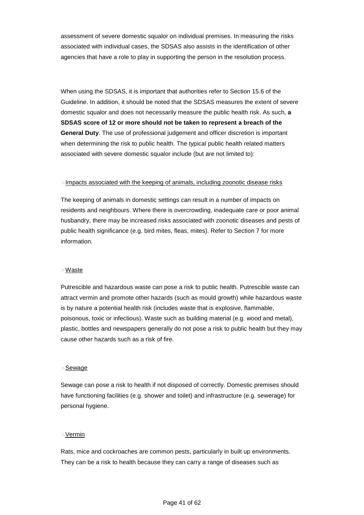assessment of severe domestic squalor on individual premises. In measuring the risks associated with individual cases, the SDSAS also assists in the identification of other agencies that have a role to play in supporting the person in the resolution process.

When using the SDSAS, it is important that authorities refer to Section 15.6 of the Guideline. In addition, it should be noted that the SDSAS measures the extent of severe domestic squalor and does not necessarily measure the public health risk. As such, **a SDSAS score of 12 or more should not be taken to represent a breach of the General Duty**. The use of professional judgement and officer discretion is important when determining the risk to public health. The typical public health related matters associated with severe domestic squalor include (but are not limited to):

#### > Impacts associated with the keeping of animals, including zoonotic disease risks

The keeping of animals in domestic settings can result in a number of impacts on residents and neighbours. Where there is overcrowding, inadequate care or poor animal husbandry, there may be increased risks associated with zoonotic diseases and pests of public health significance (e.g. bird mites, fleas, mites). Refer to Section 7 for more information.

#### > Waste

Putrescible and hazardous waste can pose a risk to public health. Putrescible waste can attract vermin and promote other hazards (such as mould growth) while hazardous waste is by nature a potential health risk (includes waste that is explosive, flammable, poisonous, toxic or infectious). Waste such as building material (e.g. wood and metal), plastic, bottles and newspapers generally do not pose a risk to public health but they may cause other hazards such as a risk of fire.

#### > Sewage

Sewage can pose a risk to health if not disposed of correctly. Domestic premises should have functioning facilities (e.g. shower and toilet) and infrastructure (e.g. sewerage) for personal hygiene.

#### > Vermin

Rats, mice and cockroaches are common pests, particularly in built up environments. They can be a risk to health because they can carry a range of diseases such as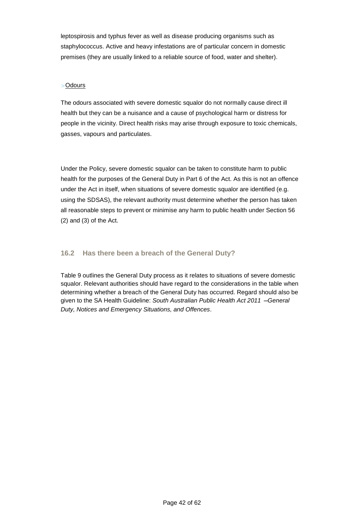leptospirosis and typhus fever as well as disease producing organisms such as staphylococcus. Active and heavy infestations are of particular concern in domestic premises (they are usually linked to a reliable source of food, water and shelter).

#### > Odours

The odours associated with severe domestic squalor do not normally cause direct ill health but they can be a nuisance and a cause of psychological harm or distress for people in the vicinity. Direct health risks may arise through exposure to toxic chemicals, gasses, vapours and particulates.

Under the Policy, severe domestic squalor can be taken to constitute harm to public health for the purposes of the General Duty in Part 6 of the Act. As this is not an offence under the Act in itself, when situations of severe domestic squalor are identified (e.g. using the SDSAS), the relevant authority must determine whether the person has taken all reasonable steps to prevent or minimise any harm to public health under Section 56 (2) and (3) of the Act.

#### **16.2 Has there been a breach of the General Duty?**

Table 9 outlines the General Duty process as it relates to situations of severe domestic squalor. Relevant authorities should have regard to the considerations in the table when determining whether a breach of the General Duty has occurred. Regard should also be given to the SA Health Guideline: South Australian Public Health Act 2011 - General Duty, Notices and Emergency Situations, and Offences.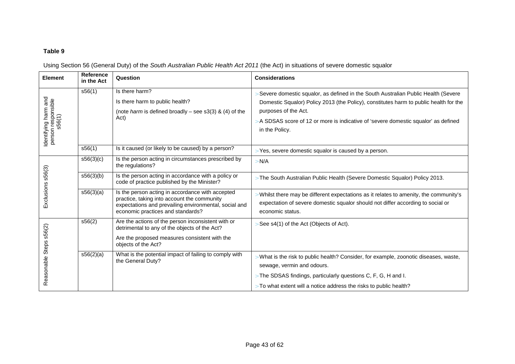#### **Table 9**

Using Section 56 (General Duty) of the South Australian Public Health Act 2011 (the Act) in situations of severe domestic squalor

| Element                                              | <b>Reference</b><br>in the Act | Question                                                                                                                                                                                      | <b>Considerations</b>                                                                                                                                                                                                                                                                                     |  |  |
|------------------------------------------------------|--------------------------------|-----------------------------------------------------------------------------------------------------------------------------------------------------------------------------------------------|-----------------------------------------------------------------------------------------------------------------------------------------------------------------------------------------------------------------------------------------------------------------------------------------------------------|--|--|
| Identifying harm and<br>person responsible<br>s56(1) | s56(1)                         | Is there harm?<br>Is there harm to public health?<br>(note harm is defined broadly – see s3(3) & (4) of the<br>Act)                                                                           | Severe domestic squalor, as defined in the South Australian Public Health (Severe<br>Domestic Squalor) Policy 2013 (the Policy), constitutes harm to public health for the<br>purposes of the Act.<br>A SDSAS score of 12 or more is indicative of 'severe domestic squalor' as defined<br>in the Policy. |  |  |
|                                                      | s56(1)                         | Is it caused (or likely to be caused) by a person?                                                                                                                                            | Yes, severe domestic squalor is caused by a person.                                                                                                                                                                                                                                                       |  |  |
|                                                      | s56(3)(c)                      | Is the person acting in circumstances prescribed by<br>the regulations?                                                                                                                       | > N/A                                                                                                                                                                                                                                                                                                     |  |  |
| s56(3)                                               | s56(3)(b)                      | Is the person acting in accordance with a policy or<br>code of practice published by the Minister?                                                                                            | The South Australian Public Health (Severe Domestic Squalor) Policy 2013.                                                                                                                                                                                                                                 |  |  |
| Exclusions                                           | s56(3)(a)                      | Is the person acting in accordance with accepted<br>practice, taking into account the community<br>expectations and prevailing environmental, social and<br>economic practices and standards? | Whilst there may be different expectations as it relates to amenity, the community's<br>expectation of severe domestic squalor should not differ according to social or<br>economic status.                                                                                                               |  |  |
| Reasonable Steps s56(2)                              | s56(2)                         | Are the actions of the person inconsistent with or<br>detrimental to any of the objects of the Act?<br>Are the proposed measures consistent with the<br>objects of the Act?                   | See s4(1) of the Act (Objects of Act).                                                                                                                                                                                                                                                                    |  |  |
|                                                      | s56(2)(a)                      | What is the potential impact of failing to comply with<br>the General Duty?                                                                                                                   | What is the risk to public health? Consider, for example, zoonotic diseases, waste,<br>sewage, vermin and odours.                                                                                                                                                                                         |  |  |
|                                                      |                                |                                                                                                                                                                                               | $>$ The SDSAS findings, particularly questions C, F, G, H and I.                                                                                                                                                                                                                                          |  |  |
|                                                      |                                |                                                                                                                                                                                               | $>$ To what extent will a notice address the risks to public health?                                                                                                                                                                                                                                      |  |  |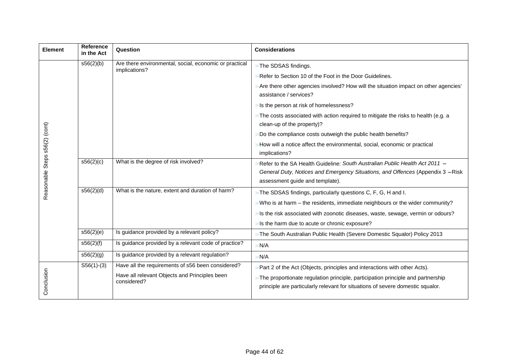| Element                        | <b>Reference</b><br>in the Act | Question                                                     | <b>Considerations</b>                                                                                                                                                                             |  |  |
|--------------------------------|--------------------------------|--------------------------------------------------------------|---------------------------------------------------------------------------------------------------------------------------------------------------------------------------------------------------|--|--|
|                                | s56(2)(b)                      | Are there environmental, social, economic or practical       | > The SDSAS findings.                                                                                                                                                                             |  |  |
|                                |                                | implications?                                                | Refer to Section 10 of the Foot in the Door Guidelines.                                                                                                                                           |  |  |
|                                |                                |                                                              | Are there other agencies involved? How will the situation impact on other agencies'<br>assistance / services?                                                                                     |  |  |
|                                |                                |                                                              | Is the person at risk of homelessness?                                                                                                                                                            |  |  |
|                                |                                |                                                              | $>$ The costs associated with action required to mitigate the risks to health (e.g. a<br>clean-up of the property)?                                                                               |  |  |
|                                |                                |                                                              | Do the compliance costs outweigh the public health benefits?                                                                                                                                      |  |  |
|                                |                                |                                                              | How will a notice affect the environmental, social, economic or practical<br>implications?                                                                                                        |  |  |
| Reasonable Steps s56(2) (cont) | s56(2)(c)                      | What is the degree of risk involved?                         | Refer to the SA Health Guideline: South Australian Public Health Act 2011 -<br>General Duty, Notices and Emergency Situations, and Offences (Appendix 3 - Risk<br>assessment guide and template). |  |  |
|                                | s56(2)(d)                      | What is the nature, extent and duration of harm?             | > The SDSAS findings, particularly questions C, F, G, H and I.                                                                                                                                    |  |  |
|                                |                                |                                                              | Who is at harm - the residents, immediate neighbours or the wider community?                                                                                                                      |  |  |
|                                |                                |                                                              | Is the risk associated with zoonotic diseases, waste, sewage, vermin or odours?                                                                                                                   |  |  |
|                                |                                |                                                              | Is the harm due to acute or chronic exposure?                                                                                                                                                     |  |  |
|                                | s56(2)(e)                      | Is guidance provided by a relevant policy?                   | > The South Australian Public Health (Severe Domestic Squalor) Policy 2013                                                                                                                        |  |  |
|                                | s56(2)(f)                      | Is guidance provided by a relevant code of practice?         | N/A                                                                                                                                                                                               |  |  |
|                                | s56(2)(g)                      | Is guidance provided by a relevant regulation?               | N/A                                                                                                                                                                                               |  |  |
|                                | $S56(1)-(3)$                   | Have all the requirements of s56 been considered?            | Part 2 of the Act (Objects, principles and interactions with other Acts).                                                                                                                         |  |  |
| Conclusion                     |                                | Have all relevant Objects and Principles been<br>considered? | $>$ The proportionate regulation principle, participation principle and partnership<br>principle are particularly relevant for situations of severe domestic squalor.                             |  |  |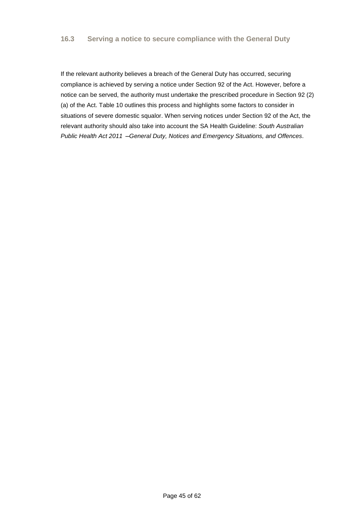If the relevant authority believes a breach of the General Duty has occurred, securing compliance is achieved by serving a notice under Section 92 of the Act. However, before a notice can be served, the authority must undertake the prescribed procedure in Section 92 (2) (a) of the Act. Table 10 outlines this process and highlights some factors to consider in situations of severe domestic squalor. When serving notices under Section 92 of the Act, the relevant authority should also take into account the SA Health Guideline: South Australian Public Health Act 2011 – General Duty, Notices and Emergency Situations, and Offences.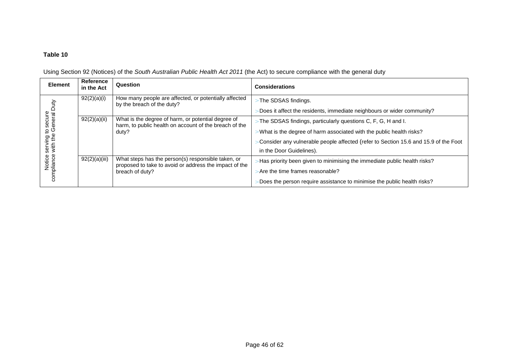#### **Table 10**

| <b>Element</b>              | Reference<br>in the Act | Question                                                                                                              | <b>Considerations</b>                                                               |
|-----------------------------|-------------------------|-----------------------------------------------------------------------------------------------------------------------|-------------------------------------------------------------------------------------|
|                             | 92(2)(a)(i)             | How many people are affected, or potentially affected<br>by the breach of the duty?                                   | The SDSAS findings.                                                                 |
|                             |                         |                                                                                                                       | Does it affect the residents, immediate neighbours or wider community?              |
| to secure<br>e General Duty | 92(2)(a)(ii)            | What is the degree of harm, or potential degree of<br>harm, to public health on account of the breach of the<br>duty? | The SDSAS findings, particularly questions C, F, G, H and I.                        |
|                             |                         |                                                                                                                       | What is the degree of harm associated with the public health risks?                 |
| serving t<br>with the       |                         |                                                                                                                       | Consider any vulnerable people affected (refer to Section 15.6 and 15.9 of the Foot |
|                             |                         |                                                                                                                       | in the Door Guidelines).                                                            |
| Notice s<br>compliance      | 92(2)(a)(iii)           | What steps has the person(s) responsible taken, or<br>proposed to take to avoid or address the impact of the          | Has priority been given to minimising the immediate public health risks?            |
|                             |                         | breach of duty?                                                                                                       | Are the time frames reasonable?                                                     |
|                             |                         |                                                                                                                       | Does the person require assistance to minimise the public health risks?             |

Using Section 92 (Notices) of the *South Australian Public Health Act* 2011 (the Act) to secure compliance with the general duty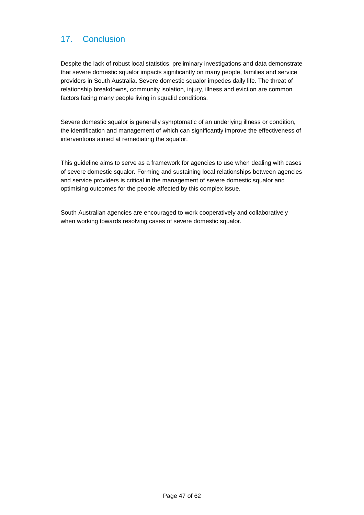## 17. Conclusion

Despite the lack of robust local statistics, preliminary investigations and data demonstrate that severe domestic squalor impacts significantly on many people, families and service providers in South Australia. Severe domestic squalor impedes daily life. The threat of relationship breakdowns, community isolation, injury, illness and eviction are common factors facing many people living in squalid conditions.

Severe domestic squalor is generally symptomatic of an underlying illness or condition, the identification and management of which can significantly improve the effectiveness of interventions aimed at remediating the squalor.

This guideline aims to serve as a framework for agencies to use when dealing with cases of severe domestic squalor. Forming and sustaining local relationships between agencies and service providers is critical in the management of severe domestic squalor and optimising outcomes for the people affected by this complex issue.

South Australian agencies are encouraged to work cooperatively and collaboratively when working towards resolving cases of severe domestic squalor.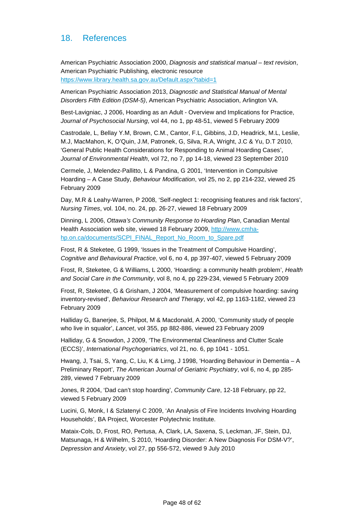## 18. References

American Psychiatric Association 2000, Diagnosis and statistical manual – text revision, American Psychiatric Publishing, electronic resource https://www.library.health.sa.gov.au/Default.aspx?tabid=1

American Psychiatric Association 2013, Diagnostic and Statistical Manual of Mental Disorders Fifth Edition (DSM-5), American Psychiatric Association, Arlington VA.

Best-Lavigniac, J 2006, Hoarding as an Adult - Overview and Implications for Practice, Journal of Psychosocial Nursing, vol 44, no 1, pp 48-51, viewed 5 February 2009

Castrodale, L, Bellay Y.M, Brown, C.M., Cantor, F.L, Gibbins, J.D, Headrick, M.L, Leslie, M.J, MacMahon, K, O'Quin, J.M, Patronek, G, Silva, R.A, Wright, J.C & Yu, D.T 2010, 'General Public Health Considerations for Responding to Animal Hoarding Cases', Journal of Environmental Health, vol 72, no 7, pp 14-18, viewed 23 September 2010

Cermele, J, Melendez-Pallitto, L & Pandina, G 2001, 'Intervention in Compulsive Hoarding – A Case Study, Behaviour Modification, vol 25, no 2, pp 214-232, viewed 25 February 2009

Day, M.R & Leahy-Warren, P 2008, 'Self-neglect 1: recognising features and risk factors', Nursing Times, vol. 104, no. 24, pp. 26-27, viewed 18 February 2009

Dinning, L 2006, Ottawa's Community Response to Hoarding Plan, Canadian Mental Health Association web site, viewed 18 February 2009, http://www.cmhahp.on.ca/documents/SCPI\_FINAL\_Report\_No\_Room\_to\_Spare.pdf

Frost, R & Steketee, G 1999, 'Issues in the Treatment of Compulsive Hoarding', Cognitive and Behavioural Practice, vol 6, no 4, pp 397-407, viewed 5 February 2009

Frost, R, Steketee, G & Williams, L 2000, 'Hoarding: a community health problem', Health and Social Care in the Community, vol 8, no 4, pp 229-234, viewed 5 February 2009

Frost, R, Steketee, G & Grisham, J 2004, 'Measurement of compulsive hoarding: saving inventory-revised', Behaviour Research and Therapy, vol 42, pp 1163-1182, viewed 23 February 2009

Halliday G, Banerjee, S, Philpot, M & Macdonald, A 2000, 'Community study of people who live in squalor', Lancet, vol 355, pp 882-886, viewed 23 February 2009

Halliday, G & Snowdon, J 2009, 'The Environmental Cleanliness and Clutter Scale (ECCS)', International Psychogeriatrics, vol 21, no. 6, pp 1041 - 1051.

Hwang, J, Tsai, S, Yang, C, Liu, K & Lirng, J 1998, 'Hoarding Behaviour in Dementia – A Preliminary Report', The American Journal of Geriatric Psychiatry, vol 6, no 4, pp 285- 289, viewed 7 February 2009

Jones, R 2004, 'Dad can't stop hoarding', Community Care, 12-18 February, pp 22, viewed 5 February 2009

Lucini, G, Monk, I & Szlatenyi C 2009, 'An Analysis of Fire Incidents Involving Hoarding Households', BA Project, Worcester Polytechnic Institute.

Mataix-Cols, D, Frost, RO, Pertusa, A, Clark, LA, Saxena, S, Leckman, JF, Stein, DJ, Matsunaga, H & Wilhelm, S 2010, 'Hoarding Disorder: A New Diagnosis For DSM-V?', Depression and Anxiety, vol 27, pp 556-572, viewed 9 July 2010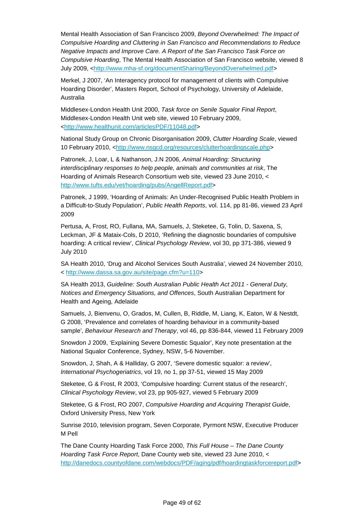Mental Health Association of San Francisco 2009, Beyond Overwhelmed: The Impact of Compulsive Hoarding and Cluttering in San Francisco and Recommendations to Reduce Negative Impacts and Improve Care. A Report of the San Francisco Task Force on Compulsive Hoarding, The Mental Health Association of San Francisco website, viewed 8 July 2009, <http://www.mha-sf.org/documentSharing/BeyondOverwhelmed.pdf>

Merkel, J 2007, 'An Interagency protocol for management of clients with Compulsive Hoarding Disorder', Masters Report, School of Psychology, University of Adelaide, Australia

Middlesex-London Health Unit 2000, Task force on Senile Squalor Final Report, Middlesex-London Health Unit web site, viewed 10 February 2009, <http://www.healthunit.com/articlesPDF/11048.pdf>

National Study Group on Chronic Disorganisation 2009, Clutter Hoarding Scale, viewed 10 February 2010, <http://www.nsgcd.org/resources/clutterhoardingscale.php>

Patronek, J, Loar, L & Nathanson, J.N 2006, Animal Hoarding: Structuring interdisciplinary responses to help people, animals and communities at risk, The Hoarding of Animals Research Consortium web site, viewed 23 June 2010, < http://www.tufts.edu/vet/hoarding/pubs/AngellReport.pdf>

Patronek, J 1999, 'Hoarding of Animals: An Under-Recognised Public Health Problem in a Difficult-to-Study Population', Public Health Reports, vol. 114, pp 81-86, viewed 23 April 2009

Pertusa, A, Frost, RO, Fullana, MA, Samuels, J, Steketee, G, Tolin, D, Saxena, S, Leckman, JF & Mataix-Cols, D 2010, 'Refining the diagnostic boundaries of compulsive hoarding: A critical review', Clinical Psychology Review, vol 30, pp 371-386, viewed 9 July 2010

SA Health 2010, 'Drug and Alcohol Services South Australia', viewed 24 November 2010, < http://www.dassa.sa.gov.au/site/page.cfm?u=110>

SA Health 2013, Guideline: South Australian Public Health Act 2011 - General Duty, Notices and Emergency Situations, and Offences, South Australian Department for Health and Ageing, Adelaide

Samuels, J, Bienvenu, O, Grados, M, Cullen, B, Riddle, M, Liang, K, Eaton, W & Nestdt, G 2008, 'Prevalence and correlates of hoarding behaviour in a community-based sample', Behaviour Research and Therapy, vol 46, pp 836-844, viewed 11 February 2009

Snowdon J 2009, 'Explaining Severe Domestic Squalor', Key note presentation at the National Squalor Conference, Sydney, NSW, 5-6 November.

Snowdon, J, Shah, A & Halliday, G 2007, 'Severe domestic squalor: a review', International Psychogeriatrics, vol 19, no 1, pp 37-51, viewed 15 May 2009

Steketee, G & Frost, R 2003, 'Compulsive hoarding: Current status of the research', Clinical Psychology Review, vol 23, pp 905-927, viewed 5 February 2009

Steketee, G & Frost, RO 2007, Compulsive Hoarding and Acquiring Therapist Guide, Oxford University Press, New York

Sunrise 2010, television program, Seven Corporate, Pyrmont NSW, Executive Producer M Pell

The Dane County Hoarding Task Force 2000, This Full House – The Dane County Hoarding Task Force Report, Dane County web site, viewed 23 June 2010, < http://danedocs.countyofdane.com/webdocs/PDF/aging/pdf/hoardingtaskforcereport.pdf>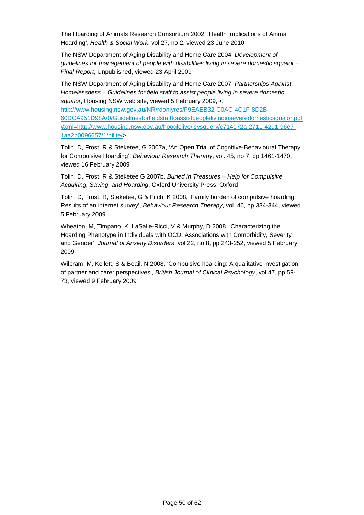The Hoarding of Animals Research Consortium 2002, 'Health Implications of Animal Hoarding', Health & Social Work, vol 27, no 2, viewed 23 June 2010

The NSW Department of Aging Disability and Home Care 2004, Development of guidelines for management of people with disabilities living in severe domestic squalor – Final Report, Unpublished, viewed 23 April 2009

The NSW Department of Aging Disability and Home Care 2007, Partnerships Against Homelessness – Guidelines for field staff to assist people living in severe domestic squalor, Housing NSW web site, viewed 5 February 2009, <

http://www.housing.nsw.gov.au/NR/rdonlyres/F9EAEB32-C0AC-4C1F-8D2B-60DCA951D98A/0/Guidelinesforfieldstafftoassistpeoplelivinginseveredomesticsqualor.pdf #xml=http://www.housing.nsw.gov.au/hooglelive/isysquery/c714e72a-2711-4291-96e7- 1aa2b0096657/1/hilite/>

Tolin, D, Frost, R & Steketee, G 2007a, 'An Open Trial of Cognitive-Behavioural Therapy for Compulsive Hoarding', Behaviour Research Therapy, vol. 45, no 7, pp 1461-1470, viewed 16 February 2009

Tolin, D, Frost, R & Steketee G 2007b, Buried in Treasures – Help for Compulsive Acquiring, Saving, and Hoarding, Oxford University Press, Oxford

Tolin, D, Frost, R, Steketee, G & Fitch, K 2008, 'Family burden of compulsive hoarding: Results of an internet survey', Behaviour Research Therapy, vol. 46, pp 334-344, viewed 5 February 2009

Wheaton, M, Timpano, K, LaSalle-Ricci, V & Murphy, D 2008, 'Characterizing the Hoarding Phenotype in Individuals with OCD: Associations with Comorbidity, Severity and Gender', Journal of Anxiety Disorders, vol 22, no 8, pp 243-252, viewed 5 February 2009

Wilbram, M, Kellett, S & Beail, N 2008, 'Compulsive hoarding: A qualitative investigation of partner and carer perspectives', British Journal of Clinical Psychology, vol 47, pp 59- 73, viewed 9 February 2009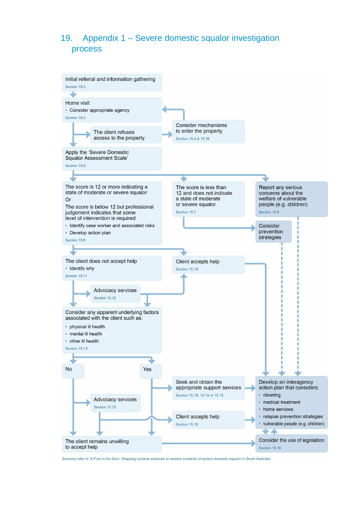## 19. Appendix 1 – Severe domestic squalor investigation process



Sections refer to 'A Foot in the Door: Stepping towards solutions to resolve incidents of severe domestic squalor in South Australia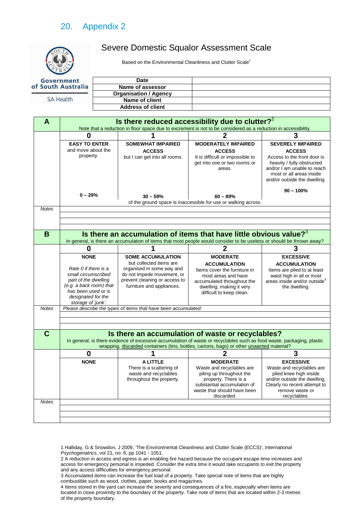## 20. Appendix 2

## Severe Domestic Squalor Assessment Scale

Based on the Environmental Cleanliness and Clutter Scale<sup>1</sup>

| Government         | Date                         |  |
|--------------------|------------------------------|--|
| of South Australia | Name of assessor             |  |
|                    | <b>Organisation / Agency</b> |  |
| <b>SA Health</b>   | Name of client               |  |
|                    | <b>Address of client</b>     |  |

| A            | Is there reduced accessibility due to clutter? <sup>2</sup>                                                    |                                                                            |                                                                                                                                                                                                  |                                                                                                                       |  |
|--------------|----------------------------------------------------------------------------------------------------------------|----------------------------------------------------------------------------|--------------------------------------------------------------------------------------------------------------------------------------------------------------------------------------------------|-----------------------------------------------------------------------------------------------------------------------|--|
|              | Note that a reduction in floor space due to excrement is not to be considered as a reduction in accessibility. |                                                                            |                                                                                                                                                                                                  |                                                                                                                       |  |
|              | 0                                                                                                              |                                                                            |                                                                                                                                                                                                  | 3                                                                                                                     |  |
|              | <b>EASY TO ENTER</b><br>and move about the<br>property.                                                        | <b>SOMEWHAT IMPAIRED</b><br><b>ACCESS</b><br>but I can get into all rooms. | <b>MODERATELY IMPAIRED</b><br><b>ACCESS</b><br>It is difficult or impossible to                                                                                                                  | <b>SEVERELY IMPAIRED</b><br><b>ACCESS</b><br>Access to the front door is                                              |  |
|              |                                                                                                                |                                                                            | get into one or two rooms or<br>areas.                                                                                                                                                           | heavily / fully obstructed<br>and/or I am unable to reach<br>most or all areas inside<br>and/or outside the dwelling. |  |
|              | $0 - 29%$                                                                                                      | $30 - 59%$                                                                 | $60 - 89%$                                                                                                                                                                                       | $90 - 100%$                                                                                                           |  |
|              |                                                                                                                |                                                                            | of the ground space is inaccessible for use or walking across.                                                                                                                                   |                                                                                                                       |  |
| <b>Notes</b> |                                                                                                                |                                                                            |                                                                                                                                                                                                  |                                                                                                                       |  |
|              |                                                                                                                |                                                                            |                                                                                                                                                                                                  |                                                                                                                       |  |
|              |                                                                                                                |                                                                            |                                                                                                                                                                                                  |                                                                                                                       |  |
| B            |                                                                                                                |                                                                            | Is there an accumulation of items that have little obvious value? $3^3$<br>In general, is there an accumulation of items that most people would consider to be useless or should be thrown away? |                                                                                                                       |  |
|              | 0                                                                                                              | 1                                                                          | $\overline{2}$                                                                                                                                                                                   | 3                                                                                                                     |  |
|              | <b>NONE</b>                                                                                                    | <b>SOME ACCUMULATION</b>                                                   | <b>MODERATE</b>                                                                                                                                                                                  | <b>EXCESSIVE</b>                                                                                                      |  |
|              |                                                                                                                | but collected items are                                                    | <b>ACCUMULATION</b>                                                                                                                                                                              | <b>ACCUMULATION</b>                                                                                                   |  |
|              | Rate 0 if there is a                                                                                           | organised in some way and                                                  | Items cover the furniture in                                                                                                                                                                     | Items are piled to at least                                                                                           |  |
|              | small circumscribed<br>part of the dwelling                                                                    | do not impede movement, or<br>prevent cleaning or access to                | most areas and have                                                                                                                                                                              | waist high in all or most                                                                                             |  |
|              | (e.g. a back room) that                                                                                        | furniture and appliances.                                                  | accumulated throughout the                                                                                                                                                                       | areas inside and/or outside <sup>4</sup>                                                                              |  |
|              | has been used or is<br>designated for the                                                                      |                                                                            | dwelling, making it very<br>difficult to keep clean.                                                                                                                                             | the dwelling.                                                                                                         |  |
|              | storage of 'junk'.                                                                                             |                                                                            |                                                                                                                                                                                                  |                                                                                                                       |  |
| <b>Notes</b> |                                                                                                                | Please describe the types of items that have been accumulated:             |                                                                                                                                                                                                  |                                                                                                                       |  |
|              |                                                                                                                |                                                                            |                                                                                                                                                                                                  |                                                                                                                       |  |
|              |                                                                                                                |                                                                            |                                                                                                                                                                                                  |                                                                                                                       |  |
| $\mathbf C$  |                                                                                                                |                                                                            | Is there an accumulation of waste or recyclables?                                                                                                                                                |                                                                                                                       |  |
|              |                                                                                                                |                                                                            | In general, is there evidence of excessive accumulation of waste or recyclables such as food waste, packaging, plastic                                                                           |                                                                                                                       |  |
|              |                                                                                                                |                                                                            | wrapping, discarded containers (tins, bottles, cartons, bags) or other unwanted material?                                                                                                        |                                                                                                                       |  |
|              | $\bf{0}$                                                                                                       |                                                                            | $\mathbf 2$                                                                                                                                                                                      | 3                                                                                                                     |  |
|              | <b>NONE</b>                                                                                                    | A LITTLE                                                                   | <b>MODERATE</b>                                                                                                                                                                                  | <b>EXCESSIVE</b>                                                                                                      |  |
|              |                                                                                                                | There is a scattering of                                                   | Waste and recyclables are                                                                                                                                                                        | Waste and recyclables are                                                                                             |  |
|              |                                                                                                                | waste and recyclables<br>throughout the property.                          | piling up throughout the<br>property. There is a                                                                                                                                                 | piled knee high inside<br>and/or outside the dwelling.                                                                |  |
|              |                                                                                                                |                                                                            | substantial accumulation of                                                                                                                                                                      | Clearly no recent attempt to                                                                                          |  |
|              |                                                                                                                |                                                                            | waste that should have been                                                                                                                                                                      | remove waste or                                                                                                       |  |
|              |                                                                                                                |                                                                            | discarded.                                                                                                                                                                                       | recyclables.                                                                                                          |  |
| <b>Notes</b> |                                                                                                                |                                                                            |                                                                                                                                                                                                  |                                                                                                                       |  |
|              |                                                                                                                |                                                                            |                                                                                                                                                                                                  |                                                                                                                       |  |
|              |                                                                                                                |                                                                            |                                                                                                                                                                                                  |                                                                                                                       |  |
|              |                                                                                                                |                                                                            |                                                                                                                                                                                                  |                                                                                                                       |  |

1 Halliday, G & Snowdon, J 2009, 'The Environmental Cleanliness and Clutter Scale (ECCS)', International Psychogeriatrics, vol 21, no. 6, pp 1041 - 1051.

2 A reduction in access and egress is an enabling fire hazard because the occupant escape time increases and access for emergency personal is impeded. Consider the extra time it would take occupants to exit the property and any access difficulties for emergency personal.

4 Items stored in the yard can increase the severity and consequences of a fire, especially when items are located in close proximity to the boundary of the property. Take note of items that are located within 2-3 metres of the property boundary.

<sup>3</sup> Accumulated items can increase the fuel load of a property. Take special note of items that are highly combustible such as wood, clothes, paper, books and magazines.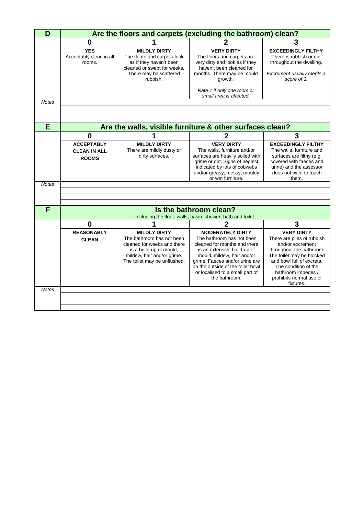| D            | Are the floors and carpets (excluding the bathroom) clean? |                                                                                                                                                                          |                                                                                                                                                                                                                                                                              |                                                                                                                                                                                                                                                 |  |
|--------------|------------------------------------------------------------|--------------------------------------------------------------------------------------------------------------------------------------------------------------------------|------------------------------------------------------------------------------------------------------------------------------------------------------------------------------------------------------------------------------------------------------------------------------|-------------------------------------------------------------------------------------------------------------------------------------------------------------------------------------------------------------------------------------------------|--|
|              | $\bf{0}$                                                   |                                                                                                                                                                          |                                                                                                                                                                                                                                                                              | 3                                                                                                                                                                                                                                               |  |
|              | <b>YES</b><br>Acceptably clean in all<br>rooms.            | <b>MILDLY DIRTY</b><br>The floors and carpets look<br>as if they haven't been<br>cleaned or swept for weeks.<br>There may be scattered<br>rubbish.                       | <b>VERY DIRTY</b><br>The floors and carpets are<br>very dirty and look as if they<br>haven't been cleaned for<br>months. There may be mould<br>growth.                                                                                                                       | <b>EXCEEDINGLY FILTHY</b><br>There is rubbish or dirt<br>throughout the dwelling.<br>Excrement usually merits a<br>score of 3.                                                                                                                  |  |
|              |                                                            |                                                                                                                                                                          | Rate 1 if only one room or<br>small area is affected.                                                                                                                                                                                                                        |                                                                                                                                                                                                                                                 |  |
| <b>Notes</b> |                                                            |                                                                                                                                                                          |                                                                                                                                                                                                                                                                              |                                                                                                                                                                                                                                                 |  |
|              |                                                            |                                                                                                                                                                          |                                                                                                                                                                                                                                                                              |                                                                                                                                                                                                                                                 |  |
|              |                                                            |                                                                                                                                                                          |                                                                                                                                                                                                                                                                              |                                                                                                                                                                                                                                                 |  |
| E            |                                                            |                                                                                                                                                                          | Are the walls, visible furniture & other surfaces clean?                                                                                                                                                                                                                     |                                                                                                                                                                                                                                                 |  |
|              | $\bf{0}$                                                   |                                                                                                                                                                          | 2                                                                                                                                                                                                                                                                            | 3                                                                                                                                                                                                                                               |  |
|              | <b>ACCEPTABLY</b><br><b>CLEAN IN ALL</b><br><b>ROOMS</b>   | <b>MILDLY DIRTY</b><br>There are mildly dusty or<br>dirty surfaces.                                                                                                      | <b>VERY DIRTY</b><br>The walls, furniture and/or<br>surfaces are heavily soiled with<br>grime or dirt. Signs of neglect<br>indicated by lots of cobwebs<br>and/or greasy, messy, mouldy<br>or wet furniture.                                                                 | <b>EXCEEDINGLY FILTHY</b><br>The walls, furniture and<br>surfaces are filthy (e.g.<br>covered with faeces and<br>urine) and the assessor<br>does not want to touch<br>them.                                                                     |  |
| <b>Notes</b> |                                                            |                                                                                                                                                                          |                                                                                                                                                                                                                                                                              |                                                                                                                                                                                                                                                 |  |
|              |                                                            |                                                                                                                                                                          |                                                                                                                                                                                                                                                                              |                                                                                                                                                                                                                                                 |  |
|              |                                                            |                                                                                                                                                                          |                                                                                                                                                                                                                                                                              |                                                                                                                                                                                                                                                 |  |
| F            |                                                            |                                                                                                                                                                          | Is the bathroom clean?<br>Including the floor, walls, basin, shower, bath and toilet.                                                                                                                                                                                        |                                                                                                                                                                                                                                                 |  |
|              | 0                                                          |                                                                                                                                                                          | $\mathbf 2$                                                                                                                                                                                                                                                                  | 3                                                                                                                                                                                                                                               |  |
|              | <b>REASONABLY</b><br><b>CLEAN</b>                          | <b>MILDLY DIRTY</b><br>The bathroom has not been<br>cleaned for weeks and there<br>is a build-up of mould,<br>mildew, hair and/or grime.<br>The toilet may be unflushed. | <b>MODERATELY DIRTY</b><br>The bathroom has not been<br>cleaned for months and there<br>is an extensive build-up of<br>mould, mildew, hair and/or<br>grime. Faeces and/or urine are<br>on the outside of the toilet bowl<br>or localised to a small part of<br>the bathroom. | <b>VERY DIRTY</b><br>There are piles of rubbish<br>and/or excrement<br>throughout the bathroom.<br>The toilet may be blocked<br>and bowl full of excreta.<br>The condition of the<br>bathroom impedes /<br>prohibits normal use of<br>fixtures. |  |
| <b>Notes</b> |                                                            |                                                                                                                                                                          |                                                                                                                                                                                                                                                                              |                                                                                                                                                                                                                                                 |  |
|              |                                                            |                                                                                                                                                                          |                                                                                                                                                                                                                                                                              |                                                                                                                                                                                                                                                 |  |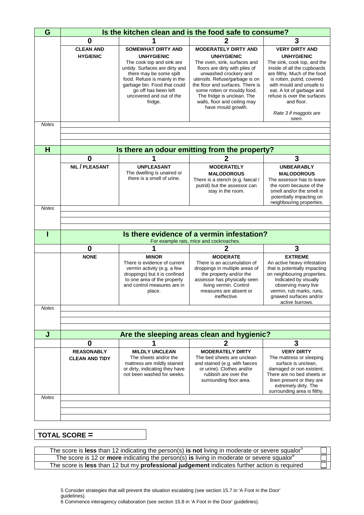| G            | Is the kitchen clean and is the food safe to consume? |                                                                                                                                                                                                                                                                          |                                                                                                                                                                                                                                                                                                                                      |                                                                                                                                                                                                                                                                                                       |  |
|--------------|-------------------------------------------------------|--------------------------------------------------------------------------------------------------------------------------------------------------------------------------------------------------------------------------------------------------------------------------|--------------------------------------------------------------------------------------------------------------------------------------------------------------------------------------------------------------------------------------------------------------------------------------------------------------------------------------|-------------------------------------------------------------------------------------------------------------------------------------------------------------------------------------------------------------------------------------------------------------------------------------------------------|--|
|              | 3<br>$\bf{0}$                                         |                                                                                                                                                                                                                                                                          |                                                                                                                                                                                                                                                                                                                                      |                                                                                                                                                                                                                                                                                                       |  |
|              | <b>CLEAN AND</b><br><b>HYGIENIC</b>                   | <b>SOMEWHAT DIRTY AND</b><br><b>UNHYGIENIC</b><br>The cook top and sink are<br>untidy. Surfaces are dirty and<br>there may be some spilt<br>food. Refuse is mainly in the<br>garbage bin. Food that could<br>go off has been left<br>uncovered and out of the<br>fridge. | <b>MODERATELY DIRTY AND</b><br><b>UNHYGIENIC</b><br>The oven, sink, surfaces and<br>floors are dirty with piles of<br>unwashed crockery and<br>utensils. Refuse/garbage is on<br>the floor and surfaces. There is<br>some rotten or mouldy food.<br>The fridge is unclean. The<br>walls, floor and ceiling may<br>have mould growth. | <b>VERY DIRTY AND</b><br><b>UNHYGIENIC</b><br>The sink, cook top, and the<br>inside of all the cupboards<br>are filthy. Much of the food<br>is rotten, putrid, covered<br>with mould and unsafe to<br>eat. A lot of garbage and<br>refuse is over the surfaces<br>and floor.<br>Rate 3 if maggots are |  |
|              |                                                       |                                                                                                                                                                                                                                                                          |                                                                                                                                                                                                                                                                                                                                      | seen.                                                                                                                                                                                                                                                                                                 |  |
| <b>Notes</b> |                                                       |                                                                                                                                                                                                                                                                          |                                                                                                                                                                                                                                                                                                                                      |                                                                                                                                                                                                                                                                                                       |  |
|              |                                                       |                                                                                                                                                                                                                                                                          |                                                                                                                                                                                                                                                                                                                                      |                                                                                                                                                                                                                                                                                                       |  |
| H            |                                                       |                                                                                                                                                                                                                                                                          | Is there an odour emitting from the property?                                                                                                                                                                                                                                                                                        |                                                                                                                                                                                                                                                                                                       |  |
|              | $\bf{0}$                                              |                                                                                                                                                                                                                                                                          | 2                                                                                                                                                                                                                                                                                                                                    | 3                                                                                                                                                                                                                                                                                                     |  |
|              | NIL / PLEASANT                                        | <b>UNPLEASANT</b><br>The dwelling is unaired or<br>there is a smell of urine.                                                                                                                                                                                            | <b>MODERATELY</b><br><b>MALODOROUS</b><br>There is a stench (e.g. faecal /<br>putrid) but the assessor can<br>stay in the room.                                                                                                                                                                                                      | <b>UNBEARABLY</b><br><b>MALODOROUS</b><br>The assessor has to leave<br>the room because of the<br>smell and/or the smell is<br>potentially impacting on<br>neighbouring properties.                                                                                                                   |  |
| <b>Notes</b> |                                                       |                                                                                                                                                                                                                                                                          |                                                                                                                                                                                                                                                                                                                                      |                                                                                                                                                                                                                                                                                                       |  |
|              |                                                       |                                                                                                                                                                                                                                                                          |                                                                                                                                                                                                                                                                                                                                      |                                                                                                                                                                                                                                                                                                       |  |
| ı            |                                                       |                                                                                                                                                                                                                                                                          | Is there evidence of a vermin infestation?<br>For example rats, mice and cockroaches.                                                                                                                                                                                                                                                |                                                                                                                                                                                                                                                                                                       |  |
|              | $\bf{0}$                                              |                                                                                                                                                                                                                                                                          | 2                                                                                                                                                                                                                                                                                                                                    | 3                                                                                                                                                                                                                                                                                                     |  |
|              | <b>NONE</b>                                           | <b>MINOR</b><br>There is evidence of current<br>vermin activity (e.g. a few<br>droppings) but it is confined<br>to one area of the property<br>and control measures are in<br>place.                                                                                     | <b>MODERATE</b><br>There is an accumulation of<br>droppings in multiple areas of<br>the property and/or the<br>assessor has physically seen<br>living vermin. Control<br>measures are absent or<br>ineffective.                                                                                                                      | <b>EXTREME</b><br>An active heavy infestation<br>that is potentially impacting<br>on neighbouring properties.<br>Indicated by visually<br>observing many live<br>vermin, rub marks, runs,<br>gnawed surfaces and/or<br>active burrows.                                                                |  |
| <b>Notes</b> |                                                       |                                                                                                                                                                                                                                                                          |                                                                                                                                                                                                                                                                                                                                      |                                                                                                                                                                                                                                                                                                       |  |
|              |                                                       |                                                                                                                                                                                                                                                                          |                                                                                                                                                                                                                                                                                                                                      |                                                                                                                                                                                                                                                                                                       |  |
| J            |                                                       |                                                                                                                                                                                                                                                                          |                                                                                                                                                                                                                                                                                                                                      |                                                                                                                                                                                                                                                                                                       |  |
|              | 0                                                     |                                                                                                                                                                                                                                                                          | Are the sleeping areas clean and hygienic?<br>2                                                                                                                                                                                                                                                                                      | 3                                                                                                                                                                                                                                                                                                     |  |
|              | <b>REASONABLY</b>                                     | <b>MILDLY UNCLEAN</b>                                                                                                                                                                                                                                                    | <b>MODERATELY DIRTY</b>                                                                                                                                                                                                                                                                                                              | <b>VERY DIRTY</b>                                                                                                                                                                                                                                                                                     |  |
|              | <b>CLEAN AND TIDY</b>                                 | The sheets and/or the<br>mattress are mildly stained<br>or dirty, indicating they have<br>not been washed for weeks.                                                                                                                                                     | The bed sheets are unclean<br>and stained (e.g. with faeces<br>or urine). Clothes and/or<br>rubbish are over the<br>surrounding floor area.                                                                                                                                                                                          | The mattress or sleeping<br>surface is unclean,<br>damaged or non existent.<br>There are no bed sheets or<br>linen present or they are<br>extremely dirty. The<br>surrounding area is filthy.                                                                                                         |  |
| <b>Notes</b> |                                                       |                                                                                                                                                                                                                                                                          |                                                                                                                                                                                                                                                                                                                                      |                                                                                                                                                                                                                                                                                                       |  |
|              |                                                       |                                                                                                                                                                                                                                                                          |                                                                                                                                                                                                                                                                                                                                      |                                                                                                                                                                                                                                                                                                       |  |
|              |                                                       |                                                                                                                                                                                                                                                                          |                                                                                                                                                                                                                                                                                                                                      |                                                                                                                                                                                                                                                                                                       |  |

#### **TOTAL SCORE =**

| The score is less than 12 indicating the person(s) is not living in moderate or severe squalor <sup>5</sup>  |  |
|--------------------------------------------------------------------------------------------------------------|--|
| The score is 12 or <b>more</b> indicating the person(s) is living in moderate or severe squalor <sup>6</sup> |  |
| The score is less than 12 but my professional judgement indicates further action is required                 |  |

5 Consider strategies that will prevent the situation escalating (see section 15.7 in 'A Foot in the Door' guidelines).

6 Commence interagency collaboration (see section 15.8 in 'A Foot in the Door' guidelines).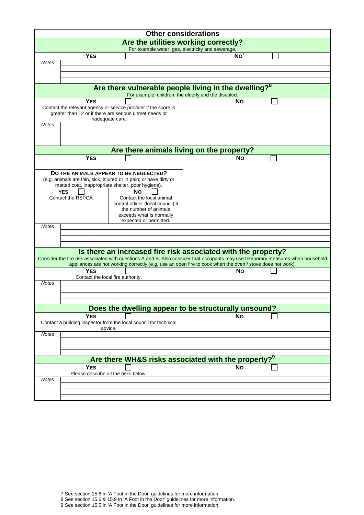|              |                    |                                                                                                                                                                                                   | <b>Other considerations</b>                       |  |
|--------------|--------------------|---------------------------------------------------------------------------------------------------------------------------------------------------------------------------------------------------|---------------------------------------------------|--|
|              |                    | Are the utilities working correctly?                                                                                                                                                              |                                                   |  |
|              |                    |                                                                                                                                                                                                   | For example water, gas, electricity and sewerage. |  |
|              | <b>YES</b>         |                                                                                                                                                                                                   | No'                                               |  |
| <b>Notes</b> |                    |                                                                                                                                                                                                   |                                                   |  |
|              |                    |                                                                                                                                                                                                   |                                                   |  |
|              |                    |                                                                                                                                                                                                   |                                                   |  |
|              |                    | Are there vulnerable people living in the dwelling? <sup>8</sup><br>For example, children, the elderly and the disabled.                                                                          |                                                   |  |
|              | <b>YES</b>         |                                                                                                                                                                                                   | Νo                                                |  |
|              |                    | Contact the relevant agency or service provider if the score is<br>greater than 12 or if there are serious unmet needs or<br>inadequate care.                                                     |                                                   |  |
| <b>Notes</b> |                    |                                                                                                                                                                                                   |                                                   |  |
|              |                    |                                                                                                                                                                                                   |                                                   |  |
|              |                    |                                                                                                                                                                                                   |                                                   |  |
|              |                    |                                                                                                                                                                                                   |                                                   |  |
|              |                    | Are there animals living on the property?                                                                                                                                                         |                                                   |  |
|              | <b>YES</b>         |                                                                                                                                                                                                   | Nο                                                |  |
|              |                    |                                                                                                                                                                                                   |                                                   |  |
|              |                    | DO THE ANIMALS APPEAR TO BE NEGLECTED?                                                                                                                                                            |                                                   |  |
|              |                    | (e.g. animals are thin, sick, injured or in pain; or have dirty or<br>matted coat, inappropriate shelter, poor hygiene).                                                                          |                                                   |  |
|              | <b>YES</b>         | Νo                                                                                                                                                                                                |                                                   |  |
|              | Contact the RSPCA. | Contact the local animal                                                                                                                                                                          |                                                   |  |
|              |                    | control officer (local council) if                                                                                                                                                                |                                                   |  |
|              |                    | the number of animals<br>exceeds what is normally                                                                                                                                                 |                                                   |  |
|              |                    | expected or permitted.                                                                                                                                                                            |                                                   |  |
| <b>Notes</b> |                    |                                                                                                                                                                                                   |                                                   |  |
|              |                    |                                                                                                                                                                                                   |                                                   |  |
|              |                    |                                                                                                                                                                                                   |                                                   |  |
|              |                    |                                                                                                                                                                                                   |                                                   |  |
|              |                    | Is there an increased fire risk associated with the property?<br>Consider the fire risk associated with questions A and B. Also consider that occupants may use temporary measures when household |                                                   |  |
|              | <b>YES</b>         | appliances are not working correctly (e.g. use an open fire to cook when the oven / stove does not work).                                                                                         | Νo                                                |  |
|              |                    | Contact the local fire authority.                                                                                                                                                                 |                                                   |  |
| <b>Notes</b> |                    |                                                                                                                                                                                                   |                                                   |  |
|              |                    |                                                                                                                                                                                                   |                                                   |  |
|              |                    |                                                                                                                                                                                                   |                                                   |  |
|              |                    |                                                                                                                                                                                                   |                                                   |  |
|              |                    | Does the dwelling appear to be structurally unsound?                                                                                                                                              |                                                   |  |
|              | <b>YES</b>         | Contact a building inspector from the local council for technical<br>advice.                                                                                                                      | <b>No</b>                                         |  |
| <b>Notes</b> |                    |                                                                                                                                                                                                   |                                                   |  |
|              |                    |                                                                                                                                                                                                   |                                                   |  |
|              |                    |                                                                                                                                                                                                   |                                                   |  |
|              |                    |                                                                                                                                                                                                   |                                                   |  |
|              |                    | Are there WH&S risks associated with the property? <sup>9</sup>                                                                                                                                   |                                                   |  |
|              | <b>YES</b>         |                                                                                                                                                                                                   | <b>No</b>                                         |  |
|              |                    | Please describe all the risks below.                                                                                                                                                              |                                                   |  |
| <b>Notes</b> |                    |                                                                                                                                                                                                   |                                                   |  |
|              |                    |                                                                                                                                                                                                   |                                                   |  |
|              |                    |                                                                                                                                                                                                   |                                                   |  |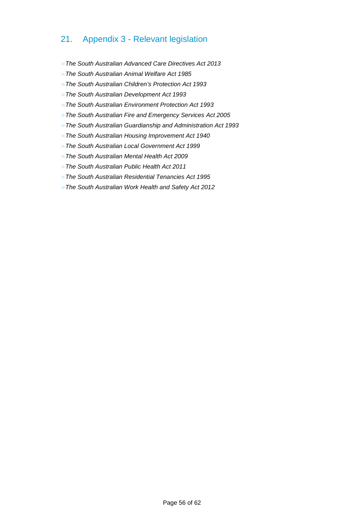## 21. Appendix 3 - Relevant legislation

- > The South Australian Advanced Care Directives Act 2013
- > The South Australian Animal Welfare Act 1985
- > The South Australian Children's Protection Act 1993
- > The South Australian Development Act 1993
- > The South Australian Environment Protection Act 1993
- > The South Australian Fire and Emergency Services Act 2005
- > The South Australian Guardianship and Administration Act 1993
- > The South Australian Housing Improvement Act 1940
- > The South Australian Local Government Act 1999
- > The South Australian Mental Health Act 2009
- > The South Australian Public Health Act 2011
- > The South Australian Residential Tenancies Act 1995
- > The South Australian Work Health and Safety Act 2012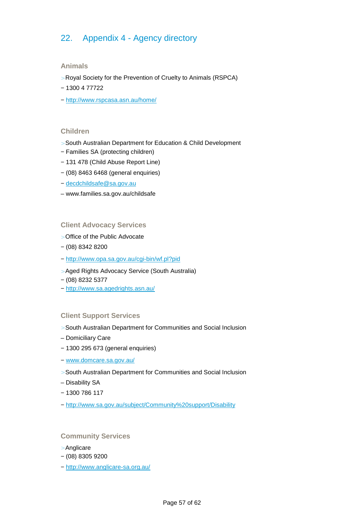## 22. Appendix 4 - Agency directory

#### **Animals**

- > Royal Society for the Prevention of Cruelty to Animals (RSPCA)
- − 1300 4 77722
- − http://www.rspcasa.asn.au/home/

#### **Children**

- > South Australian Department for Education & Child Development
- − Families SA (protecting children)
- − 131 478 (Child Abuse Report Line)
- − (08) 8463 6468 (general enquiries)
- − decdchildsafe@sa.gov.au
- www.families.sa.gov.au/childsafe

#### **Client Advocacy Services**

- > Office of the Public Advocate
- − (08) 8342 8200
- − http://www.opa.sa.gov.au/cgi-bin/wf.pl?pid
- > Aged Rights Advocacy Service (South Australia)
- − (08) 8232 5377
- − http://www.sa.agedrights.asn.au/

#### **Client Support Services**

- > South Australian Department for Communities and Social Inclusion
- Domiciliary Care
- − 1300 295 673 (general enquiries)
- − www.domcare.sa.gov.au/
- > South Australian Department for Communities and Social Inclusion
- Disability SA
- − 1300 786 117
- − http://www.sa.gov.au/subject/Community%20support/Disability

#### **Community Services**

- > Anglicare
- − (08) 8305 9200
- − http://www.anglicare-sa.org.au/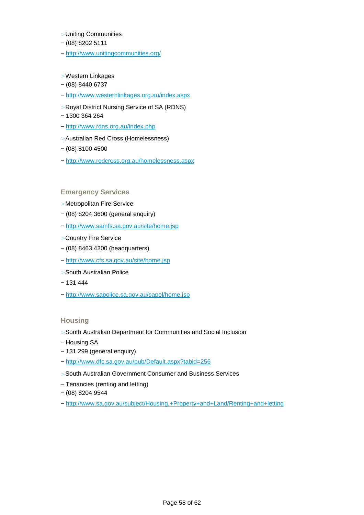- > Uniting Communities
- − (08) 8202 5111
- − http://www.unitingcommunities.org/
- > Western Linkages
- − (08) 8440 6737
- − http://www.westernlinkages.org.au/index.aspx
- > Royal District Nursing Service of SA (RDNS)
- − 1300 364 264
- − http://www.rdns.org.au/index.php
- > Australian Red Cross (Homelessness)
- − (08) 8100 4500
- − http://www.redcross.org.au/homelessness.aspx

#### **Emergency Services**

- > Metropolitan Fire Service
- − (08) 8204 3600 (general enquiry)
- − http://www.samfs.sa.gov.au/site/home.jsp
- > Country Fire Service
- − (08) 8463 4200 (headquarters)
- − http://www.cfs.sa.gov.au/site/home.jsp
- > South Australian Police
- − 131 444
- − http://www.sapolice.sa.gov.au/sapol/home.jsp

#### **Housing**

- > South Australian Department for Communities and Social Inclusion
- Housing SA
- − 131 299 (general enquiry)
- − http://www.dfc.sa.gov.au/pub/Default.aspx?tabid=256
- > South Australian Government Consumer and Business Services
- Tenancies (renting and letting)
- − (08) 8204 9544
- − http://www.sa.gov.au/subject/Housing,+Property+and+Land/Renting+and+letting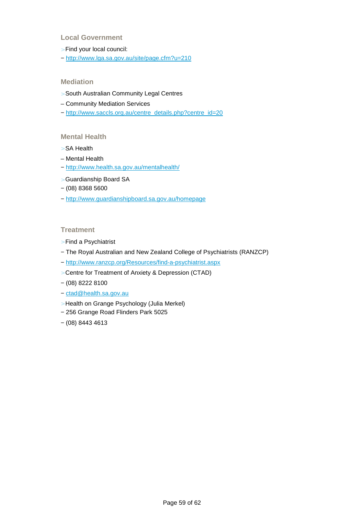#### **Local Government**

- > Find your local council:
- − http://www.lga.sa.gov.au/site/page.cfm?u=210

#### **Mediation**

- > South Australian Community Legal Centres
- Community Mediation Services
- − http://www.saccls.org.au/centre\_details.php?centre\_id=20

#### **Mental Health**

- > SA Health
- Mental Health
- − http://www.health.sa.gov.au/mentalhealth/
- > Guardianship Board SA
- − (08) 8368 5600
- − http://www.guardianshipboard.sa.gov.au/homepage

#### **Treatment**

- > Find a Psychiatrist
- − The Royal Australian and New Zealand College of Psychiatrists (RANZCP)
- − http://www.ranzcp.org/Resources/find-a-psychiatrist.aspx
- > Centre for Treatment of Anxiety & Depression (CTAD)
- − (08) 8222 8100
- − ctad@health.sa.gov.au
- > Health on Grange Psychology (Julia Merkel)
- − 256 Grange Road Flinders Park 5025
- − (08) 8443 4613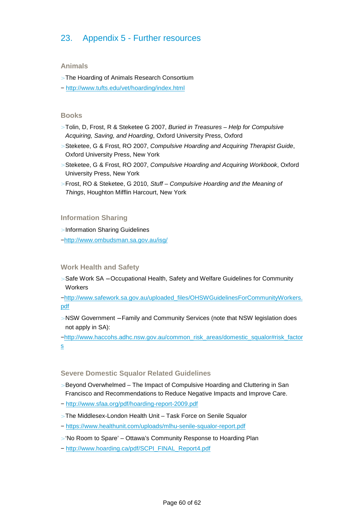## 23. Appendix 5 - Further resources

#### **Animals**

> The Hoarding of Animals Research Consortium

− http://www.tufts.edu/vet/hoarding/index.html

#### **Books**

- > Tolin, D, Frost, R & Steketee G 2007, Buried in Treasures Help for Compulsive Acquiring, Saving, and Hoarding, Oxford University Press, Oxford
- > Steketee, G & Frost, RO 2007, Compulsive Hoarding and Acquiring Therapist Guide, Oxford University Press, New York
- > Steketee, G & Frost, RO 2007, Compulsive Hoarding and Acquiring Workbook, Oxford University Press, New York
- > Frost, RO & Steketee, G 2010, Stuff Compulsive Hoarding and the Meaning of Things, Houghton Mifflin Harcourt, New York

#### **Information Sharing**

> Information Sharing Guidelines

−http://www.ombudsman.sa.gov.au/isg/

#### **Work Health and Safety**

> Safe Work SA − Occupational Health, Safety and Welfare Guidelines for Community **Workers** 

−http://www.safework.sa.gov.au/uploaded\_files/OHSWGuidelinesForCommunityWorkers. pdf

> NSW Government − Family and Community Services (note that NSW legislation does not apply in SA):

−http://www.haccohs.adhc.nsw.gov.au/common\_risk\_areas/domestic\_squalor#risk\_factor s

#### **Severe Domestic Squalor Related Guidelines**

- > Beyond Overwhelmed The Impact of Compulsive Hoarding and Cluttering in San Francisco and Recommendations to Reduce Negative Impacts and Improve Care.
- − http://www.sfaa.org/pdf/hoarding-report-2009.pdf
- > The Middlesex-London Health Unit Task Force on Senile Squalor
- − https://www.healthunit.com/uploads/mlhu-senile-squalor-report.pdf
- > 'No Room to Spare' Ottawa's Community Response to Hoarding Plan
- − http://www.hoarding.ca/pdf/SCPI\_FINAL\_Report4.pdf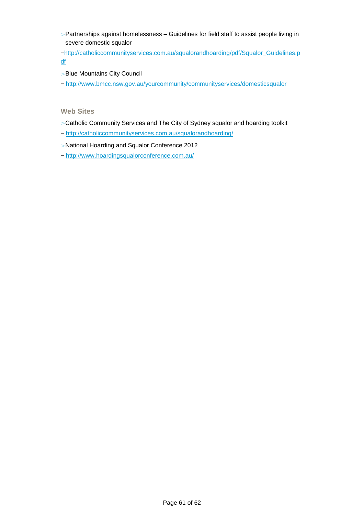> Partnerships against homelessness – Guidelines for field staff to assist people living in severe domestic squalor

−http://catholiccommunityservices.com.au/squalorandhoarding/pdf/Squalor\_Guidelines.p df

- > Blue Mountains City Council
- − http://www.bmcc.nsw.gov.au/yourcommunity/communityservices/domesticsqualor

#### **Web Sites**

- > Catholic Community Services and The City of Sydney squalor and hoarding toolkit
- − http://catholiccommunityservices.com.au/squalorandhoarding/
- > National Hoarding and Squalor Conference 2012
- − http://www.hoardingsqualorconference.com.au/